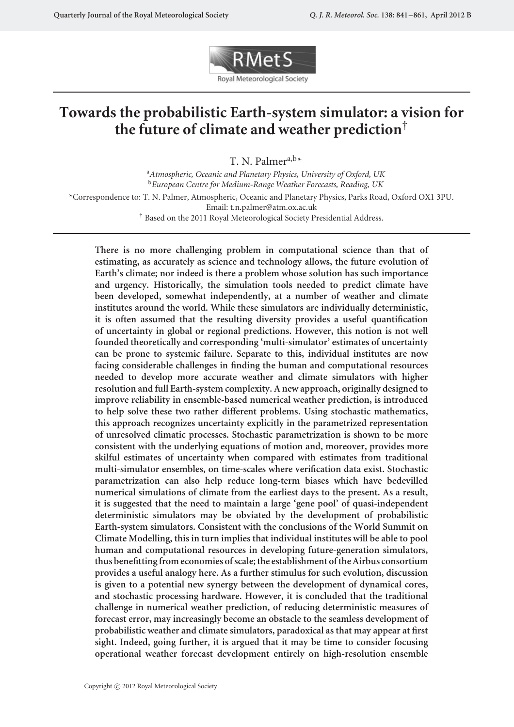

# **Towards the probabilistic Earth-system simulator: a vision for the future of climate and weather prediction**†

T. N. Palmera, b\*

<sup>a</sup>*Atmospheric, Oceanic and Planetary Physics, University of Oxford, UK* <sup>b</sup>*European Centre for Medium-Range Weather Forecasts, Reading, UK* \*Correspondence to: T. N. Palmer, Atmospheric, Oceanic and Planetary Physics, Parks Road, Oxford OX1 3PU. Email: t.n.palmer@atm.ox.ac.uk † Based on the 2011 Royal Meteorological Society Presidential Address.

**There is no more challenging problem in computational science than that of estimating, as accurately as science and technology allows, the future evolution of Earth's climate; nor indeed is there a problem whose solution has such importance and urgency. Historically, the simulation tools needed to predict climate have been developed, somewhat independently, at a number of weather and climate institutes around the world. While these simulators are individually deterministic, it is often assumed that the resulting diversity provides a useful quantification of uncertainty in global or regional predictions. However, this notion is not well founded theoretically and corresponding 'multi-simulator' estimates of uncertainty can be prone to systemic failure. Separate to this, individual institutes are now facing considerable challenges in finding the human and computational resources needed to develop more accurate weather and climate simulators with higher resolution and full Earth-system complexity. A new approach, originally designed to improve reliability in ensemble-based numerical weather prediction, is introduced to help solve these two rather different problems. Using stochastic mathematics, this approach recognizes uncertainty explicitly in the parametrized representation of unresolved climatic processes. Stochastic parametrization is shown to be more consistent with the underlying equations of motion and, moreover, provides more skilful estimates of uncertainty when compared with estimates from traditional multi-simulator ensembles, on time-scales where verification data exist. Stochastic parametrization can also help reduce long-term biases which have bedevilled numerical simulations of climate from the earliest days to the present. As a result, it is suggested that the need to maintain a large 'gene pool' of quasi-independent deterministic simulators may be obviated by the development of probabilistic Earth-system simulators. Consistent with the conclusions of the World Summit on Climate Modelling, this in turn implies that individual institutes will be able to pool human and computational resources in developing future-generation simulators, thus benefitting from economies of scale; the establishment of the Airbus consortium provides a useful analogy here. As a further stimulus for such evolution, discussion is given to a potential new synergy between the development of dynamical cores, and stochastic processing hardware. However, it is concluded that the traditional challenge in numerical weather prediction, of reducing deterministic measures of forecast error, may increasingly become an obstacle to the seamless development of probabilistic weather and climate simulators, paradoxical as that may appear at first sight. Indeed, going further, it is argued that it may be time to consider focusing operational weather forecast development entirely on high-resolution ensemble**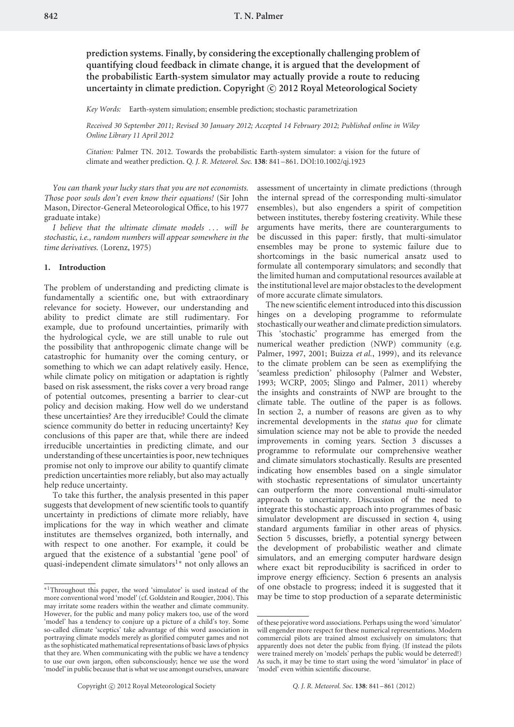**prediction systems. Finally, by considering the exceptionally challenging problem of quantifying cloud feedback in climate change, it is argued that the development of the probabilistic Earth-system simulator may actually provide a route to reducing uncertainty in climate prediction. Copyright c 2012 Royal Meteorological Society**

*Key Words:* Earth-system simulation; ensemble prediction; stochastic parametrization

*Received 30 September 2011; Revised 30 January 2012; Accepted 14 February 2012; Published online in Wiley Online Library 11 April 2012*

*Citation:* Palmer TN. 2012. Towards the probabilistic Earth-system simulator: a vision for the future of climate and weather prediction. *Q. J. R. Meteorol. Soc.* **138**: 841–861. DOI:10.1002/qj.1923

*You can thank your lucky stars that you are not economists. Those poor souls don't even know their equations!* (Sir John Mason, Director-General Meteorological Office, to his 1977 graduate intake)

*I believe that the ultimate climate models ... will be stochastic, i.e., random numbers will appear somewhere in the time derivatives.* (Lorenz, 1975)

## **1. Introduction**

The problem of understanding and predicting climate is fundamentally a scientific one, but with extraordinary relevance for society. However, our understanding and ability to predict climate are still rudimentary. For example, due to profound uncertainties, primarily with the hydrological cycle, we are still unable to rule out the possibility that anthropogenic climate change will be catastrophic for humanity over the coming century, or something to which we can adapt relatively easily. Hence, while climate policy on mitigation or adaptation is rightly based on risk assessment, the risks cover a very broad range of potential outcomes, presenting a barrier to clear-cut policy and decision making. How well do we understand these uncertainties? Are they irreducible? Could the climate science community do better in reducing uncertainty? Key conclusions of this paper are that, while there are indeed irreducible uncertainties in predicting climate, and our understanding of these uncertainties is poor, new techniques promise not only to improve our ability to quantify climate prediction uncertainties more reliably, but also may actually help reduce uncertainty.

To take this further, the analysis presented in this paper suggests that development of new scientific tools to quantify uncertainty in predictions of climate more reliably, have implications for the way in which weather and climate institutes are themselves organized, both internally, and with respect to one another. For example, it could be argued that the existence of a substantial 'gene pool' of quasi-independent climate simulators<sup>1</sup><sup>∗</sup> not only allows an

assessment of uncertainty in climate predictions (through the internal spread of the corresponding multi-simulator ensembles), but also engenders a spirit of competition between institutes, thereby fostering creativity. While these arguments have merits, there are counterarguments to be discussed in this paper: firstly, that multi-simulator ensembles may be prone to systemic failure due to shortcomings in the basic numerical ansatz used to formulate all contemporary simulators; and secondly that the limited human and computational resources available at the institutional level are major obstacles to the development of more accurate climate simulators.

The new scientific element introduced into this discussion hinges on a developing programme to reformulate stochastically our weather and climate prediction simulators. This 'stochastic' programme has emerged from the numerical weather prediction (NWP) community (e.g. Palmer, 1997, 2001; Buizza *et al.*, 1999), and its relevance to the climate problem can be seen as exemplifying the 'seamless prediction' philosophy (Palmer and Webster, 1993; WCRP, 2005; Slingo and Palmer, 2011) whereby the insights and constraints of NWP are brought to the climate table. The outline of the paper is as follows. In section 2, a number of reasons are given as to why incremental developments in the *status quo* for climate simulation science may not be able to provide the needed improvements in coming years. Section 3 discusses a programme to reformulate our comprehensive weather and climate simulators stochastically. Results are presented indicating how ensembles based on a single simulator with stochastic representations of simulator uncertainty can outperform the more conventional multi-simulator approach to uncertainty. Discussion of the need to integrate this stochastic approach into programmes of basic simulator development are discussed in section 4, using standard arguments familiar in other areas of physics. Section 5 discusses, briefly, a potential synergy between the development of probabilistic weather and climate simulators, and an emerging computer hardware design where exact bit reproducibility is sacrificed in order to improve energy efficiency. Section 6 presents an analysis of one obstacle to progress; indeed it is suggested that it may be time to stop production of a separate deterministic

<sup>∗</sup>1Throughout this paper, the word 'simulator' is used instead of the more conventional word 'model' (cf. Goldstein and Rougier, 2004). This may irritate some readers within the weather and climate community. However, for the public and many policy makers too, use of the word 'model' has a tendency to conjure up a picture of a child's toy. Some so-called climate 'sceptics' take advantage of this word association in portraying climate models merely as glorified computer games and not as the sophisticated mathematical representations of basic laws of physics that they are. When communicating with the public we have a tendency to use our own jargon, often subconsciously; hence we use the word 'model' in public because that is what we use amongst ourselves, unaware

of these pejorative word associations. Perhaps using the word 'simulator' will engender more respect for these numerical representations. Modern commercial pilots are trained almost exclusively on simulators; that apparently does not deter the public from flying. (If instead the pilots were trained merely on 'models' perhaps the public would be deterred!) As such, it may be time to start using the word 'simulator' in place of 'model' even within scientific discourse.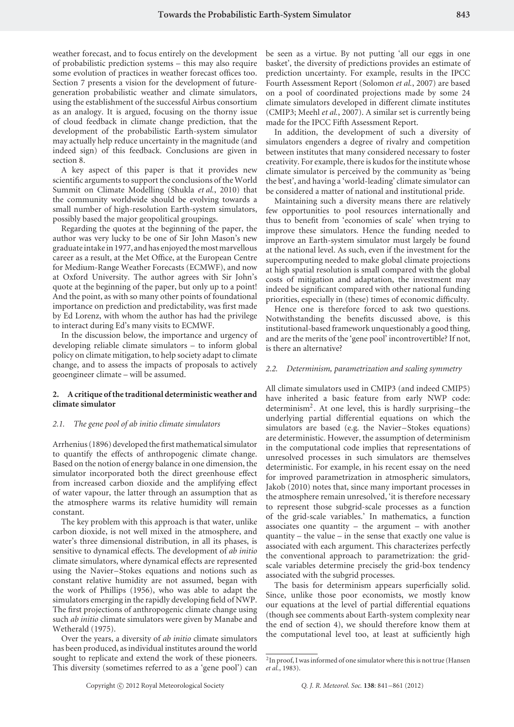weather forecast, and to focus entirely on the development of probabilistic prediction systems – this may also require some evolution of practices in weather forecast offices too. Section 7 presents a vision for the development of futuregeneration probabilistic weather and climate simulators, using the establishment of the successful Airbus consortium as an analogy. It is argued, focusing on the thorny issue of cloud feedback in climate change prediction, that the development of the probabilistic Earth-system simulator may actually help reduce uncertainty in the magnitude (and indeed sign) of this feedback. Conclusions are given in section 8.

A key aspect of this paper is that it provides new scientific arguments to support the conclusions of the World Summit on Climate Modelling (Shukla *et al.*, 2010) that the community worldwide should be evolving towards a small number of high-resolution Earth-system simulators, possibly based the major geopolitical groupings.

Regarding the quotes at the beginning of the paper, the author was very lucky to be one of Sir John Mason's new graduate intake in 1977, and has enjoyed the most marvellous career as a result, at the Met Office, at the European Centre for Medium-Range Weather Forecasts (ECMWF), and now at Oxford University. The author agrees with Sir John's quote at the beginning of the paper, but only up to a point! And the point, as with so many other points of foundational importance on prediction and predictability, was first made by Ed Lorenz, with whom the author has had the privilege to interact during Ed's many visits to ECMWF.

In the discussion below, the importance and urgency of developing reliable climate simulators – to inform global policy on climate mitigation, to help society adapt to climate change, and to assess the impacts of proposals to actively geoengineer climate – will be assumed.

#### **2. A critique of the traditional deterministic weather and climate simulator**

#### *2.1. The gene pool of ab initio climate simulators*

Arrhenius (1896) developed the first mathematical simulator to quantify the effects of anthropogenic climate change. Based on the notion of energy balance in one dimension, the simulator incorporated both the direct greenhouse effect from increased carbon dioxide and the amplifying effect of water vapour, the latter through an assumption that as the atmosphere warms its relative humidity will remain constant.

The key problem with this approach is that water, unlike carbon dioxide, is not well mixed in the atmosphere, and water's three dimensional distribution, in all its phases, is sensitive to dynamical effects. The development of *ab initio* climate simulators, where dynamical effects are represented using the Navier–Stokes equations and notions such as constant relative humidity are not assumed, began with the work of Phillips (1956), who was able to adapt the simulators emerging in the rapidly developing field of NWP. The first projections of anthropogenic climate change using such *ab initio* climate simulators were given by Manabe and Wetherald (1975).

Over the years, a diversity of *ab initio* climate simulators has been produced, as individual institutes around the world sought to replicate and extend the work of these pioneers. This diversity (sometimes referred to as a 'gene pool') can be seen as a virtue. By not putting 'all our eggs in one basket', the diversity of predictions provides an estimate of prediction uncertainty. For example, results in the IPCC Fourth Assessment Report (Solomon *et al.*, 2007) are based on a pool of coordinated projections made by some 24 climate simulators developed in different climate institutes (CMIP3; Meehl *et al.*, 2007). A similar set is currently being made for the IPCC Fifth Assessment Report.

In addition, the development of such a diversity of simulators engenders a degree of rivalry and competition between institutes that many considered necessary to foster creativity. For example, there is kudos for the institute whose climate simulator is perceived by the community as 'being the best', and having a 'world-leading' climate simulator can be considered a matter of national and institutional pride.

Maintaining such a diversity means there are relatively few opportunities to pool resources internationally and thus to benefit from 'economies of scale' when trying to improve these simulators. Hence the funding needed to improve an Earth-system simulator must largely be found at the national level. As such, even if the investment for the supercomputing needed to make global climate projections at high spatial resolution is small compared with the global costs of mitigation and adaptation, the investment may indeed be significant compared with other national funding priorities, especially in (these) times of economic difficulty.

Hence one is therefore forced to ask two questions. Notwithstanding the benefits discussed above, is this institutional-based framework unquestionably a good thing, and are the merits of the 'gene pool' incontrovertible? If not, is there an alternative?

#### *2.2. Determinism, parametrization and scaling symmetry*

All climate simulators used in CMIP3 (and indeed CMIP5) have inherited a basic feature from early NWP code: determinism<sup>2</sup>. At one level, this is hardly surprising–the underlying partial differential equations on which the simulators are based (e.g. the Navier–Stokes equations) are deterministic. However, the assumption of determinism in the computational code implies that representations of unresolved processes in such simulators are themselves deterministic. For example, in his recent essay on the need for improved parametrization in atmospheric simulators, Jakob (2010) notes that, since many important processes in the atmosphere remain unresolved, 'it is therefore necessary to represent those subgrid-scale processes as a function of the grid-scale variables.' In mathematics, a function associates one quantity – the argument – with another quantity – the value – in the sense that exactly one value is associated with each argument. This characterizes perfectly the conventional approach to parametrization: the gridscale variables determine precisely the grid-box tendency associated with the subgrid processes.

The basis for determinism appears superficially solid. Since, unlike those poor economists, we mostly know our equations at the level of partial differential equations (though see comments about Earth-system complexity near the end of section 4), we should therefore know them at the computational level too, at least at sufficiently high

 $^2{\rm In}$  proof, I was informed of one simulator where this is not true (Hansen *et al.*, 1983).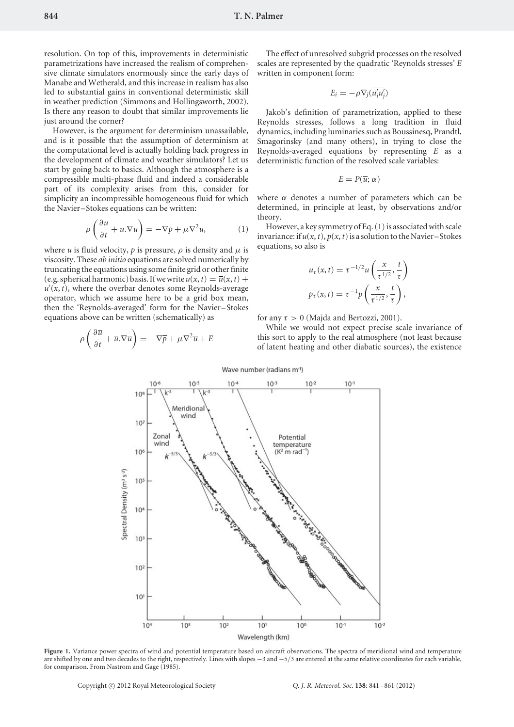resolution. On top of this, improvements in deterministic parametrizations have increased the realism of comprehensive climate simulators enormously since the early days of Manabe and Wetherald, and this increase in realism has also led to substantial gains in conventional deterministic skill in weather prediction (Simmons and Hollingsworth, 2002). Is there any reason to doubt that similar improvements lie just around the corner?

However, is the argument for determinism unassailable, and is it possible that the assumption of determinism at the computational level is actually holding back progress in the development of climate and weather simulators? Let us start by going back to basics. Although the atmosphere is a compressible multi-phase fluid and indeed a considerable part of its complexity arises from this, consider for simplicity an incompressible homogeneous fluid for which the Navier–Stokes equations can be written:

$$
\rho \left( \frac{\partial u}{\partial t} + u \cdot \nabla u \right) = -\nabla p + \mu \nabla^2 u,\tag{1}
$$

where *u* is fluid velocity, *p* is pressure,  $\rho$  is density and  $\mu$  is viscosity. These *ab initio* equations are solved numerically by truncating the equations using some finite grid or other finite (e.g. spherical harmonic) basis. If we write  $u(x, t) = \overline{u}(x, t) +$  $u'(x, t)$ , where the overbar denotes some Reynolds-average operator, which we assume here to be a grid box mean, then the 'Reynolds-averaged' form for the Navier–Stokes equations above can be written (schematically) as

$$
\rho \left( \frac{\partial \overline{u}}{\partial t} + \overline{u} . \nabla \overline{u} \right) = -\nabla \overline{p} + \mu \nabla^2 \overline{u} + E
$$

The effect of unresolved subgrid processes on the resolved scales are represented by the quadratic 'Reynolds stresses' *E* written in component form:

$$
E_i = -\rho \nabla_j(\overline{u'_i u'_j})
$$

Jakob's definition of parametrization, applied to these Reynolds stresses, follows a long tradition in fluid dynamics, including luminaries such as Boussinesq, Prandtl, Smagorinsky (and many others), in trying to close the Reynolds-averaged equations by representing *E* as a deterministic function of the resolved scale variables:

$$
E = P(\overline{u}; \alpha)
$$

where *α* denotes a number of parameters which can be determined, in principle at least, by observations and/or theory.

However, a key symmetry of Eq. (1) is associated with scale invariance: if  $u(x, t)$ ,  $p(x, t)$  is a solution to the Navier–Stokes equations, so also is

$$
u_{\tau}(x,t) = \tau^{-1/2} u\left(\frac{x}{\tau^{1/2}}, \frac{t}{\tau}\right)
$$

$$
p_{\tau}(x,t) = \tau^{-1} p\left(\frac{x}{\tau^{1/2}}, \frac{t}{\tau}\right),
$$

for any  $\tau > 0$  (Majda and Bertozzi, 2001).

While we would not expect precise scale invariance of this sort to apply to the real atmosphere (not least because of latent heating and other diabatic sources), the existence

#### Wave number (radians m<sup>-1</sup>)



Figure 1. Variance power spectra of wind and potential temperature based on aircraft observations. The spectra of meridional wind and temperature are shifted by one and two decades to the right, respectively. Lines with slopes −3 and −5*/*3 are entered at the same relative coordinates for each variable, for comparison. From Nastrom and Gage (1985).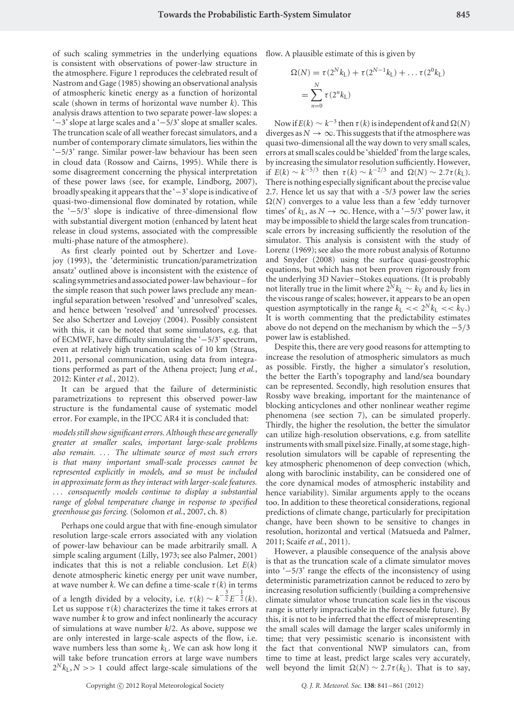of such scaling symmetries in the underlying equations is consistent with observations of power-law structure in the atmosphere. Figure 1 reproduces the celebrated result of Nastrom and Gage (1985) showing an observational analysis of atmospheric kinetic energy as a function of horizontal scale (shown in terms of horizontal wave number *k*). This analysis draws attention to two separate power-law slopes: a '−3' slope at large scales and a '−5/3' slope at smaller scales. The truncation scale of all weather forecast simulators, and a number of contemporary climate simulators, lies within the '−5/3' range. Similar power-law behaviour has been seen in cloud data (Rossow and Cairns, 1995). While there is some disagreement concerning the physical interpretation of these power laws (see, for example, Lindborg, 2007), broadly speaking it appears that the '−3' slope is indicative of quasi-two-dimensional flow dominated by rotation, while the '−5/3' slope is indicative of three-dimensional flow with substantial divergent motion (enhanced by latent heat release in cloud systems, associated with the compressible multi-phase nature of the atmosphere).

As first clearly pointed out by Schertzer and Lovejoy (1993), the 'deterministic truncation/parametrization ansatz' outlined above is inconsistent with the existence of scaling symmetries and associated power-law behaviour – for the simple reason that such power laws preclude any meaningful separation between 'resolved' and 'unresolved' scales, and hence between 'resolved' and 'unresolved' processes. See also Schertzer and Lovejoy (2004). Possibly consistent with this, it can be noted that some simulators, e.g. that of ECMWF, have difficulty simulating the '−5/3' spectrum, even at relatively high truncation scales of 10 km (Straus, 2011, personal communication, using data from integrations performed as part of the Athena project; Jung *et al.*, 2012: Kinter *et al.*, 2012).

It can be argued that the failure of deterministic parametrizations to represent this observed power-law structure is the fundamental cause of systematic model error. For example, in the IPCC AR4 it is concluded that:

*models still show significant errors. Although these are generally greater at smaller scales, important large-scale problems also remain. ... The ultimate source of most such errors is that many important small-scale processes cannot be represented explicitly in models, and so must be included in approximate form as they interact with larger-scale features. ... consequently models continue to display a substantial range of global temperature change in response to specified greenhouse gas forcing.* (Solomon *et al.*, 2007, ch. 8)

Perhaps one could argue that with fine-enough simulator resolution large-scale errors associated with any violation of power-law behaviour can be made arbitrarily small. A simple scaling argument (Lilly, 1973; see also Palmer, 2001) indicates that this is not a reliable conclusion. Let *E*(*k*) denote atmospheric kinetic energy per unit wave number, at wave number *k*. We can define a time-scale *τ* (*k*) in terms of a length divided by a velocity, i.e.  $\tau(k) \sim k^{-\frac{3}{2}} E^{-\frac{1}{2}}(k)$ . Let us suppose  $\tau(k)$  characterizes the time it takes errors at wave number *k* to grow and infect nonlinearly the accuracy of simulations at wave number *k*/2. As above, suppose we are only interested in large-scale aspects of the flow, i.e. wave numbers less than some  $k<sub>L</sub>$ . We can ask how long it will take before truncation errors at large wave numbers  $2^N k_L$ ,  $N >> 1$  could affect large-scale simulations of the flow. A plausible estimate of this is given by

$$
\Omega(N) = \tau(2^N k_L) + \tau(2^{N-1} k_L) + \dots \tau(2^0 k_L)
$$
  
= 
$$
\sum_{n=0}^{N} \tau(2^n k_L)
$$

Now if  $E(k) \sim k^{-3}$  then  $\tau(k)$  is independent of k and  $\Omega(N)$ diverges as  $N \to \infty$ . This suggests that if the atmosphere was quasi two-dimensional all the way down to very small scales, errors at small scales could be 'shielded' from the large scales, by increasing the simulator resolution sufficiently. However, if  $E(k) \sim k^{-5/3}$  then  $\tau(k) \sim k^{-2/3}$  and  $\Omega(N) \sim 2.7 \tau(k_1)$ . There is nothing especially significant about the precise value 2.7. Hence let us say that with a -5/3 power law the series  $\Omega(N)$  converges to a value less than a few 'eddy turnover times' of  $k_L$ , as  $N \to \infty$ . Hence, with a '−5/3' power law, it may be impossible to shield the large scales from truncationscale errors by increasing sufficiently the resolution of the simulator. This analysis is consistent with the study of Lorenz (1969); see also the more robust analysis of Rotunno and Snyder (2008) using the surface quasi-geostrophic equations, but which has not been proven rigorously from the underlying 3D Navier–Stokes equations. (It is probably not literally true in the limit where  $2^N k_L \sim k_V$  and  $k_V$  lies in the viscous range of scales; however, it appears to be an open question asymptotically in the range  $k_L \ll 2^N k_L \ll k_V$ .) It is worth commenting that the predictability estimates above do not depend on the mechanism by which the −5*/*3 power law is established.

Despite this, there are very good reasons for attempting to increase the resolution of atmospheric simulators as much as possible. Firstly, the higher a simulator's resolution, the better the Earth's topography and land/sea boundary can be represented. Secondly, high resolution ensures that Rossby wave breaking, important for the maintenance of blocking anticyclones and other nonlinear weather regime phenomena (see section 7), can be simulated properly. Thirdly, the higher the resolution, the better the simulator can utilize high-resolution observations, e.g. from satellite instruments with small pixel size. Finally, at some stage, highresolution simulators will be capable of representing the key atmospheric phenomenon of deep convection (which, along with baroclinic instability, can be considered one of the core dynamical modes of atmospheric instability and hence variability). Similar arguments apply to the oceans too. In addition to these theoretical considerations, regional predictions of climate change, particularly for precipitation change, have been shown to be sensitive to changes in resolution, horizontal and vertical (Matsueda and Palmer, 2011; Scaife *et al.*, 2011).

However, a plausible consequence of the analysis above is that as the truncation scale of a climate simulator moves into '−5/3' range the effects of the inconsistency of using deterministic parametrization cannot be reduced to zero by increasing resolution sufficiently (building a comprehensive climate simulator whose truncation scale lies in the viscous range is utterly impracticable in the foreseeable future). By this, it is not to be inferred that the effect of misrepresenting the small scales will damage the larger scales uniformly in time; that very pessimistic scenario is inconsistent with the fact that conventional NWP simulators can, from time to time at least, predict large scales very accurately, well beyond the limit  $\Omega(N) \sim 2.7\tau(k_L)$ . That is to say,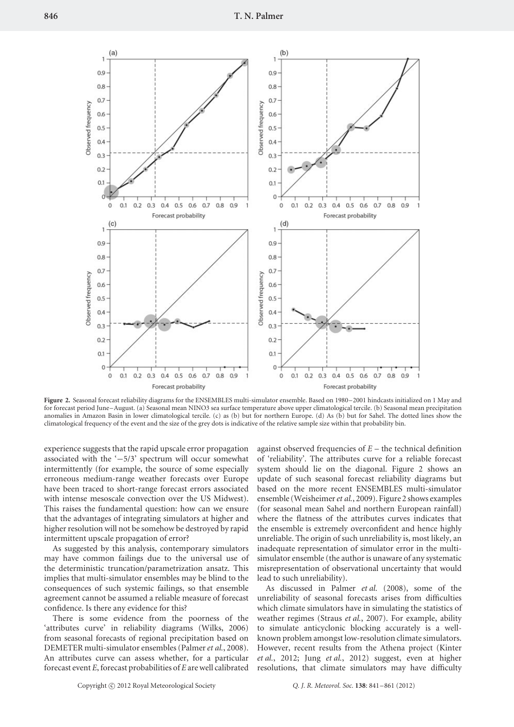

**Figure 2.** Seasonal forecast reliability diagrams for the ENSEMBLES multi-simulator ensemble. Based on 1980–2001 hindcasts initialized on 1 May and for forecast period June–August. (a) Seasonal mean NINO3 sea surface temperature above upper climatological tercile. (b) Seasonal mean precipitation anomalies in Amazon Basin in lower climatological tercile. (c) as (b) but for northern Europe. (d) As (b) but for Sahel. The dotted lines show the climatological frequency of the event and the size of the grey dots is indicative of the relative sample size within that probability bin.

experience suggests that the rapid upscale error propagation associated with the '−5/3' spectrum will occur somewhat intermittently (for example, the source of some especially erroneous medium-range weather forecasts over Europe have been traced to short-range forecast errors associated with intense mesoscale convection over the US Midwest). This raises the fundamental question: how can we ensure that the advantages of integrating simulators at higher and higher resolution will not be somehow be destroyed by rapid intermittent upscale propagation of error?

As suggested by this analysis, contemporary simulators may have common failings due to the universal use of the deterministic truncation/parametrization ansatz. This implies that multi-simulator ensembles may be blind to the consequences of such systemic failings, so that ensemble agreement cannot be assumed a reliable measure of forecast confidence. Is there any evidence for this?

There is some evidence from the poorness of the 'attributes curve' in reliability diagrams (Wilks, 2006) from seasonal forecasts of regional precipitation based on DEMETER multi-simulator ensembles (Palmer*et al.*, 2008). An attributes curve can assess whether, for a particular forecast event *E*, forecast probabilities of *E* are well calibrated

against observed frequencies of *E* – the technical definition of 'reliability'. The attributes curve for a reliable forecast system should lie on the diagonal. Figure 2 shows an update of such seasonal forecast reliability diagrams but based on the more recent ENSEMBLES multi-simulator ensemble (Weisheimer*et al.*, 2009). Figure 2 shows examples (for seasonal mean Sahel and northern European rainfall) where the flatness of the attributes curves indicates that the ensemble is extremely overconfident and hence highly unreliable. The origin of such unreliability is, most likely, an inadequate representation of simulator error in the multisimulator ensemble (the author is unaware of any systematic misrepresentation of observational uncertainty that would lead to such unreliability).

As discussed in Palmer *et al.* (2008), some of the unreliability of seasonal forecasts arises from difficulties which climate simulators have in simulating the statistics of weather regimes (Straus *et al.*, 2007). For example, ability to simulate anticyclonic blocking accurately is a wellknown problem amongst low-resolution climate simulators. However, recent results from the Athena project (Kinter *et al.*, 2012; Jung *et al.*, 2012) suggest, even at higher resolutions, that climate simulators may have difficulty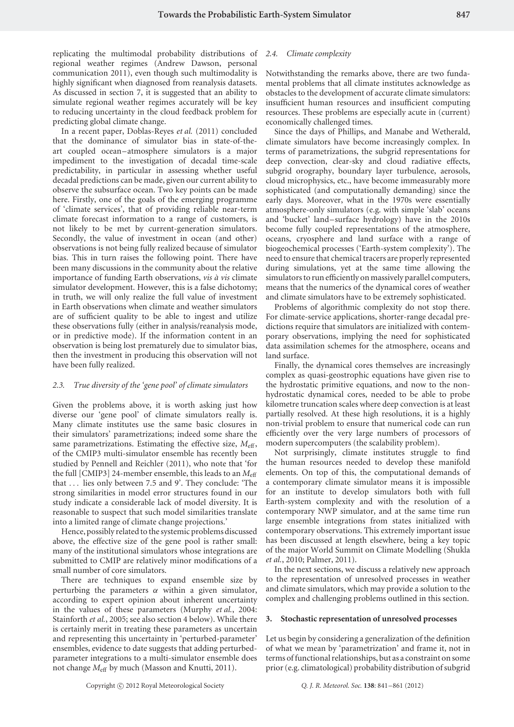replicating the multimodal probability distributions of *2.4. Climate complexity* regional weather regimes (Andrew Dawson, personal communication 2011), even though such multimodality is highly significant when diagnosed from reanalysis datasets. As discussed in section 7, it is suggested that an ability to simulate regional weather regimes accurately will be key to reducing uncertainty in the cloud feedback problem for predicting global climate change.

In a recent paper, Doblas-Reyes *et al.* (2011) concluded that the dominance of simulator bias in state-of-theart coupled ocean–atmosphere simulators is a major impediment to the investigation of decadal time-scale predictability, in particular in assessing whether useful decadal predictions can be made, given our current ability to observe the subsurface ocean. Two key points can be made here. Firstly, one of the goals of the emerging programme of 'climate services', that of providing reliable near-term climate forecast information to a range of customers, is not likely to be met by current-generation simulators. Secondly, the value of investment in ocean (and other) observations is not being fully realized because of simulator bias. This in turn raises the following point. There have been many discussions in the community about the relative importance of funding Earth observations, *vis a vis `* climate simulator development. However, this is a false dichotomy; in truth, we will only realize the full value of investment in Earth observations when climate and weather simulators are of sufficient quality to be able to ingest and utilize these observations fully (either in analysis/reanalysis mode, or in predictive mode). If the information content in an observation is being lost prematurely due to simulator bias, then the investment in producing this observation will not have been fully realized.

#### *2.3. True diversity of the 'gene pool' of climate simulators*

Given the problems above, it is worth asking just how diverse our 'gene pool' of climate simulators really is. Many climate institutes use the same basic closures in their simulators' parametrizations; indeed some share the same parametrizations. Estimating the effective size,  $M_{\text{eff}}$ , of the CMIP3 multi-simulator ensemble has recently been studied by Pennell and Reichler (2011), who note that 'for the full [CMIP3] 24-member ensemble, this leads to an  $M_{\text{eff}}$ that *...* lies only between 7.5 and 9'. They conclude: 'The strong similarities in model error structures found in our study indicate a considerable lack of model diversity. It is reasonable to suspect that such model similarities translate into a limited range of climate change projections.'

Hence, possibly related to the systemic problems discussed above, the effective size of the gene pool is rather small: many of the institutional simulators whose integrations are submitted to CMIP are relatively minor modifications of a small number of core simulators.

There are techniques to expand ensemble size by perturbing the parameters *α* within a given simulator, according to expert opinion about inherent uncertainty in the values of these parameters (Murphy *et al.*, 2004: Stainforth *et al.*, 2005; see also section 4 below). While there is certainly merit in treating these parameters as uncertain and representing this uncertainty in 'perturbed-parameter' ensembles, evidence to date suggests that adding perturbedparameter integrations to a multi-simulator ensemble does not change *M*eff by much (Masson and Knutti, 2011).

Notwithstanding the remarks above, there are two fundamental problems that all climate institutes acknowledge as obstacles to the development of accurate climate simulators: insufficient human resources and insufficient computing resources. These problems are especially acute in (current) economically challenged times.

Since the days of Phillips, and Manabe and Wetherald, climate simulators have become increasingly complex. In terms of parametrizations, the subgrid representations for deep convection, clear-sky and cloud radiative effects, subgrid orography, boundary layer turbulence, aerosols, cloud microphysics, etc., have become immeasurably more sophisticated (and computationally demanding) since the early days. Moreover, what in the 1970s were essentially atmosphere-only simulators (e.g. with simple 'slab' oceans and 'bucket' land–surface hydrology) have in the 2010s become fully coupled representations of the atmosphere, oceans, cryosphere and land surface with a range of biogeochemical processes ('Earth-system complexity'). The need to ensure that chemical tracers are properly represented during simulations, yet at the same time allowing the simulators to run efficiently on massively parallel computers, means that the numerics of the dynamical cores of weather and climate simulators have to be extremely sophisticated.

Problems of algorithmic complexity do not stop there. For climate-service applications, shorter-range decadal predictions require that simulators are initialized with contemporary observations, implying the need for sophisticated data assimilation schemes for the atmosphere, oceans and land surface.

Finally, the dynamical cores themselves are increasingly complex as quasi-geostrophic equations have given rise to the hydrostatic primitive equations, and now to the nonhydrostatic dynamical cores, needed to be able to probe kilometre truncation scales where deep convection is at least partially resolved. At these high resolutions, it is a highly non-trivial problem to ensure that numerical code can run efficiently over the very large numbers of processors of modern supercomputers (the scalability problem).

Not surprisingly, climate institutes struggle to find the human resources needed to develop these manifold elements. On top of this, the computational demands of a contemporary climate simulator means it is impossible for an institute to develop simulators both with full Earth-system complexity and with the resolution of a contemporary NWP simulator, and at the same time run large ensemble integrations from states initialized with contemporary observations. This extremely important issue has been discussed at length elsewhere, being a key topic of the major World Summit on Climate Modelling (Shukla *et al.*, 2010; Palmer, 2011).

In the next sections, we discuss a relatively new approach to the representation of unresolved processes in weather and climate simulators, which may provide a solution to the complex and challenging problems outlined in this section.

#### **3. Stochastic representation of unresolved processes**

Let us begin by considering a generalization of the definition of what we mean by 'parametrization' and frame it, not in terms of functional relationships, but as a constraint on some prior (e.g. climatological) probability distribution of subgrid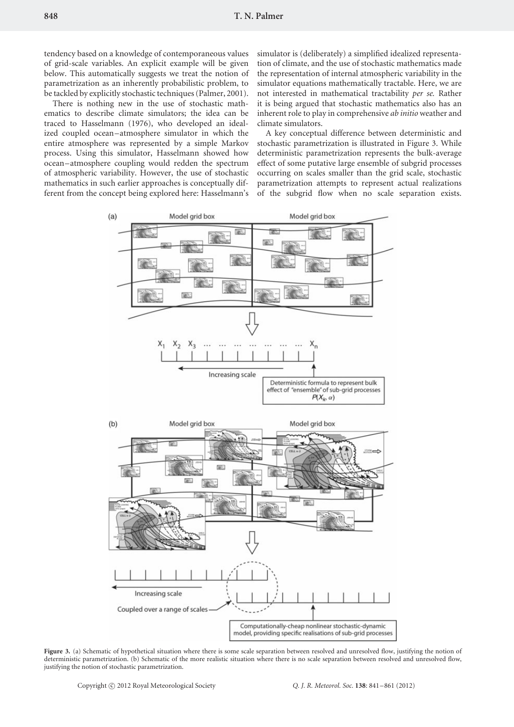tendency based on a knowledge of contemporaneous values of grid-scale variables. An explicit example will be given below. This automatically suggests we treat the notion of parametrization as an inherently probabilistic problem, to be tackled by explicitly stochastic techniques (Palmer, 2001).

There is nothing new in the use of stochastic mathematics to describe climate simulators; the idea can be traced to Hasselmann (1976), who developed an idealized coupled ocean–atmosphere simulator in which the entire atmosphere was represented by a simple Markov process. Using this simulator, Hasselmann showed how ocean–atmosphere coupling would redden the spectrum of atmospheric variability. However, the use of stochastic mathematics in such earlier approaches is conceptually different from the concept being explored here: Hasselmann's simulator is (deliberately) a simplified idealized representation of climate, and the use of stochastic mathematics made the representation of internal atmospheric variability in the simulator equations mathematically tractable. Here, we are not interested in mathematical tractability *per se.* Rather it is being argued that stochastic mathematics also has an inherent role to play in comprehensive *ab initio* weather and climate simulators.

A key conceptual difference between deterministic and stochastic parametrization is illustrated in Figure 3. While deterministic parametrization represents the bulk-average effect of some putative large ensemble of subgrid processes occurring on scales smaller than the grid scale, stochastic parametrization attempts to represent actual realizations of the subgrid flow when no scale separation exists.



Figure 3. (a) Schematic of hypothetical situation where there is some scale separation between resolved and unresolved flow, justifying the notion of deterministic parametrization. (b) Schematic of the more realistic situation where there is no scale separation between resolved and unresolved flow, justifying the notion of stochastic parametrization.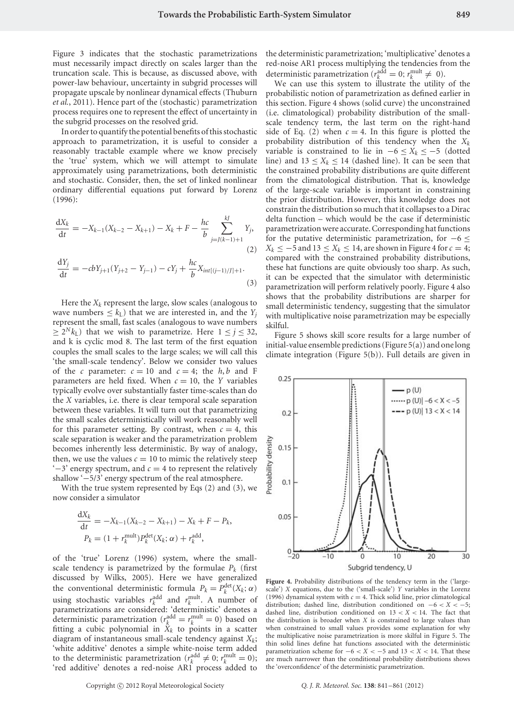Figure 3 indicates that the stochastic parametrizations must necessarily impact directly on scales larger than the truncation scale. This is because, as discussed above, with power-law behaviour, uncertainty in subgrid processes will propagate upscale by nonlinear dynamical effects (Thuburn *et al.*, 2011). Hence part of the (stochastic) parametrization process requires one to represent the effect of uncertainty in the subgrid processes on the resolved grid.

In order to quantify the potential benefits of this stochastic approach to parametrization, it is useful to consider a reasonably tractable example where we know precisely the 'true' system, which we will attempt to simulate approximately using parametrizations, both deterministic and stochastic. Consider, then, the set of linked nonlinear ordinary differential equations put forward by Lorenz (1996):

$$
\frac{dX_k}{dt} = -X_{k-1}(X_{k-2} - X_{k+1}) - X_k + F - \frac{hc}{b} \sum_{j=J(k-1)+1}^{kJ} Y_j,
$$
\n(2)

$$
\frac{dY_j}{dt} = -cbY_{j+1}(Y_{j+2} - Y_{j-1}) - cY_j + \frac{hc}{b}X_{int[(j-1)/J]+1}.
$$
\n(3)

Here the  $X_k$  represent the large, slow scales (analogous to wave numbers  $\lt k_L$ ) that we are interested in, and the *Y<sub>i</sub>* represent the small, fast scales (analogous to wave numbers  $\geq 2^N k_L$ ) that we wish to parametrize. Here  $1 \leq j \leq 32$ , and k is cyclic mod 8. The last term of the first equation couples the small scales to the large scales; we will call this 'the small-scale tendency'. Below we consider two values of the *c* parameter:  $c = 10$  and  $c = 4$ ; the *h*, *b* and F parameters are held fixed. When  $c = 10$ , the *Y* variables typically evolve over substantially faster time-scales than do the *X* variables, i.e. there is clear temporal scale separation between these variables. It will turn out that parametrizing the small scales deterministically will work reasonably well for this parameter setting. By contrast, when  $c = 4$ , this scale separation is weaker and the parametrization problem becomes inherently less deterministic. By way of analogy, then, we use the values  $c = 10$  to mimic the relatively steep '−3' energy spectrum, and *c* = 4 to represent the relatively shallow '−5/3' energy spectrum of the real atmosphere.

With the true system represented by Eqs (2) and (3), we now consider a simulator

$$
\frac{dX_k}{dt} = -X_{k-1}(X_{k-2} - X_{k+1}) - X_k + F - P_k,
$$
  
\n
$$
P_k = (1 + r_k^{\text{mult}})P_k^{\text{det}}(X_k; \alpha) + r_k^{\text{add}},
$$

of the 'true' Lorenz (1996) system, where the smallscale tendency is parametrized by the formulae  $P_k$  (first discussed by Wilks, 2005). Here we have generalized the conventional deterministic formula  $P_k = P_k^{\text{det}}(X_k; \alpha)$ using stochastic variables  $r_k^{\text{add}}$  and  $r_k^{\text{mult}}$ . A number of parametrizations are considered: 'deterministic' denotes a deterministic parametrization ( $r_k^{\text{add}} = r_k^{\text{mult}} = 0$ ) based on fitting a cubic polynomial in  $X_k$  to points in a scatter diagram of instantaneous small-scale tendency against *Xk*; 'white additive' denotes a simple white-noise term added to the deterministic parametrization ( $r_k^{\text{add}} \neq 0$ ;  $r_k^{\text{mult}} = 0$ ); 'red additive' denotes a red-noise AR1 process added to

We can use this system to illustrate the utility of the probabilistic notion of parametrization as defined earlier in this section. Figure 4 shows (solid curve) the unconstrained (i.e. climatological) probability distribution of the smallscale tendency term, the last term on the right-hand side of Eq. (2) when  $c = 4$ . In this figure is plotted the probability distribution of this tendency when the *Xk* variable is constrained to lie in  $-6 \le X_k \le -5$  (dotted line) and  $13 \le X_k \le 14$  (dashed line). It can be seen that the constrained probability distributions are quite different from the climatological distribution. That is, knowledge of the large-scale variable is important in constraining the prior distribution. However, this knowledge does not constrain the distribution so much that it collapses to a Dirac delta function – which would be the case if deterministic parametrization were accurate. Corresponding hat functions for the putative deterministic parametrization, for  $-6 \le$ *X<sub>k</sub>* ≤ −5 and 13 ≤ *X<sub>k</sub>* ≤ 14, are shown in Figure 4 for  $c = 4$ ; compared with the constrained probability distributions, these hat functions are quite obviously too sharp. As such, it can be expected that the simulator with deterministic parametrization will perform relatively poorly. Figure 4 also shows that the probability distributions are sharper for small deterministic tendency, suggesting that the simulator with multiplicative noise parametrization may be especially skilful.

Figure 5 shows skill score results for a large number of initial-value ensemble predictions (Figure 5(a)) and one long climate integration (Figure 5(b)). Full details are given in



Figure 4. Probability distributions of the tendency term in the ('largescale') *X* equations, due to the ('small-scale') *Y* variables in the Lorenz (1996) dynamical system with  $c = 4$ . Thick solid line, prior climatological distribution; dashed line, distribution conditioned on −6 *< X <* −5; dashed line, distribution conditioned on 13 *< X <* 14. The fact that the distribution is broader when *X* is constrained to large values than when constrained to small values provides some explanation for why the multiplicative noise parametrization is more skilful in Figure 5. The thin solid lines define hat functions associated with the deterministic parametrization scheme for  $-6 < X < -5$  and  $13 < X < 14$ . That these are much narrower than the conditional probability distributions shows the 'overconfidence' of the deterministic parametrization.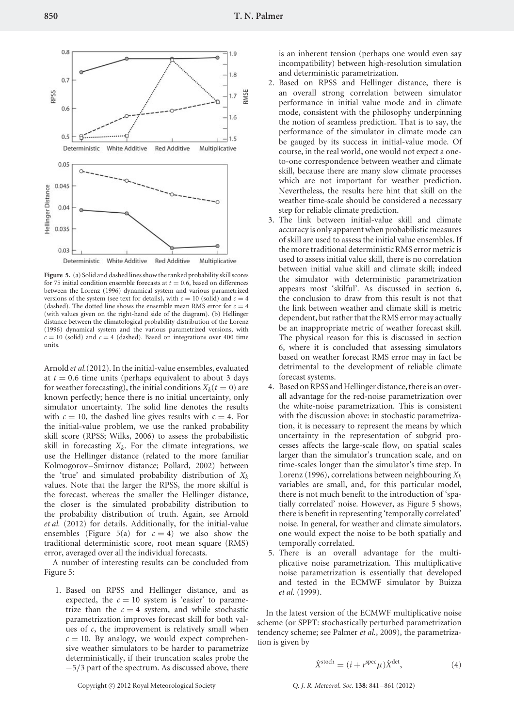1.9

Hellinger Distance  $0.04$ 0.035  $0.03$ Deterministic **White Additive Red Additive** Multiplicative **Figure 5.** (a) Solid and dashed lines show the ranked probability skill scores for 75 initial condition ensemble forecasts at  $t = 0.6$ , based on differences between the Lorenz (1996) dynamical system and various parametrized versions of the system (see text for details), with  $c = 10$  (solid) and  $c = 4$ (dashed). The dotted line shows the ensemble mean RMS error for  $c = 4$ (with values given on the right-hand side of the diagram). (b) Hellinger distance between the climatological probability distribution of the Lorenz (1996) dynamical system and the various parametrized versions, with  $c = 10$  (solid) and  $c = 4$  (dashed). Based on integrations over 400 time

Arnold *et al.*(2012). In the initial-value ensembles, evaluated at  $t = 0.6$  time units (perhaps equivalent to about 3 days for weather forecasting), the initial conditions  $X_k(t=0)$  are known perfectly; hence there is no initial uncertainty, only simulator uncertainty. The solid line denotes the results with  $c = 10$ , the dashed line gives results with  $c = 4$ . For the initial-value problem, we use the ranked probability skill score (RPSS; Wilks, 2006) to assess the probabilistic skill in forecasting  $X_k$ . For the climate integrations, we use the Hellinger distance (related to the more familiar Kolmogorov–Smirnov distance; Pollard, 2002) between the 'true' and simulated probability distribution of *Xk* values. Note that the larger the RPSS, the more skilful is the forecast, whereas the smaller the Hellinger distance, the closer is the simulated probability distribution to the probability distribution of truth. Again, see Arnold *et al.* (2012) for details. Additionally, for the initial-value ensembles (Figure 5(a) for  $c = 4$ ) we also show the traditional deterministic score, root mean square (RMS) error, averaged over all the individual forecasts.

A number of interesting results can be concluded from Figure 5:

1. Based on RPSS and Hellinger distance, and as expected, the  $c = 10$  system is 'easier' to parametrize than the  $c = 4$  system, and while stochastic parametrization improves forecast skill for both values of *c*, the improvement is relatively small when  $c = 10$ . By analogy, we would expect comprehensive weather simulators to be harder to parametrize deterministically, if their truncation scales probe the −5*/*3 part of the spectrum. As discussed above, there

is an inherent tension (perhaps one would even say incompatibility) between high-resolution simulation and deterministic parametrization.

- 2. Based on RPSS and Hellinger distance, there is an overall strong correlation between simulator performance in initial value mode and in climate mode, consistent with the philosophy underpinning the notion of seamless prediction. That is to say, the performance of the simulator in climate mode can be gauged by its success in initial-value mode. Of course, in the real world, one would not expect a oneto-one correspondence between weather and climate skill, because there are many slow climate processes which are not important for weather prediction. Nevertheless, the results here hint that skill on the weather time-scale should be considered a necessary step for reliable climate prediction.
- 3. The link between initial-value skill and climate accuracy is only apparent when probabilistic measures of skill are used to assess the initial value ensembles. If the more traditional deterministic RMS error metric is used to assess initial value skill, there is no correlation between initial value skill and climate skill; indeed the simulator with deterministic parametrization appears most 'skilful'. As discussed in section 6, the conclusion to draw from this result is not that the link between weather and climate skill is metric dependent, but rather that the RMS error may actually be an inappropriate metric of weather forecast skill. The physical reason for this is discussed in section 6, where it is concluded that assessing simulators based on weather forecast RMS error may in fact be detrimental to the development of reliable climate forecast systems.
- 4. Based on RPSS and Hellinger distance, there is an overall advantage for the red-noise parametrization over the white-noise parametrization. This is consistent with the discussion above: in stochastic parametrization, it is necessary to represent the means by which uncertainty in the representation of subgrid processes affects the large-scale flow, on spatial scales larger than the simulator's truncation scale, and on time-scales longer than the simulator's time step. In Lorenz (1996), correlations between neighbouring *Xk* variables are small, and, for this particular model, there is not much benefit to the introduction of 'spatially correlated' noise. However, as Figure 5 shows, there is benefit in representing 'temporally correlated' noise. In general, for weather and climate simulators, one would expect the noise to be both spatially and temporally correlated.
- 5. There is an overall advantage for the multiplicative noise parametrization. This multiplicative noise parametrization is essentially that developed and tested in the ECMWF simulator by Buizza *et al.* (1999).

In the latest version of the ECMWF multiplicative noise scheme (or SPPT: stochastically perturbed parametrization tendency scheme; see Palmer *et al.*, 2009), the parametrization is given by

$$
\dot{X}^{\text{stoch}} = (i + r^{\text{spec}} \mu) \dot{X}^{\text{det}},\tag{4}
$$



 $0.8$ 

units.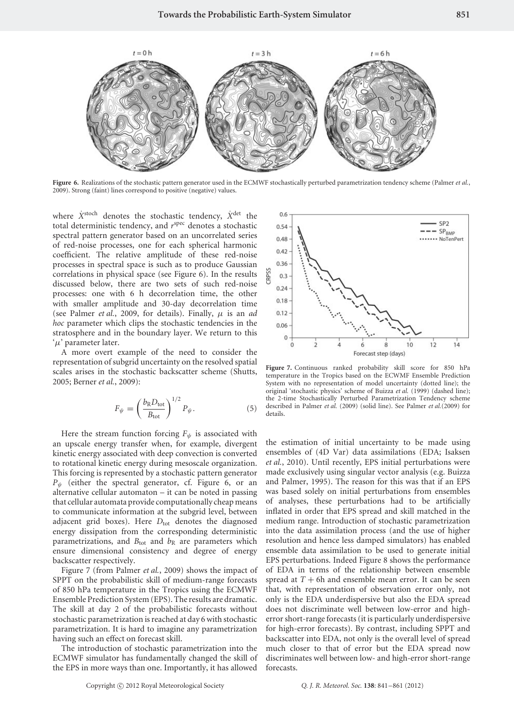

**Figure 6.** Realizations of the stochastic pattern generator used in the ECMWF stochastically perturbed parametrization tendency scheme (Palmer *et al.*, 2009). Strong (faint) lines correspond to positive (negative) values.

where  $\dot{X}^{\text{stoch}}$  denotes the stochastic tendency,  $\dot{X}^{\text{det}}$  the total deterministic tendency, and *r*spec denotes a stochastic spectral pattern generator based on an uncorrelated series of red-noise processes, one for each spherical harmonic coefficient. The relative amplitude of these red-noise processes in spectral space is such as to produce Gaussian correlations in physical space (see Figure 6). In the results discussed below, there are two sets of such red-noise processes: one with 6 h decorrelation time, the other with smaller amplitude and 30-day decorrelation time (see Palmer *et al.*, 2009, for details). Finally,  $\mu$  is an *ad hoc* parameter which clips the stochastic tendencies in the stratosphere and in the boundary layer. We return to this '*µ*' parameter later.

A more overt example of the need to consider the representation of subgrid uncertainty on the resolved spatial scales arises in the stochastic backscatter scheme (Shutts, 2005; Berner *et al.*, 2009):

$$
F_{\psi} = \left(\frac{b_{\rm R}D_{\rm tot}}{B_{\rm tot}}\right)^{1/2}P_{\psi}.
$$
 (5)

Here the stream function forcing  $F_{\psi}$  is associated with an upscale energy transfer when, for example, divergent kinetic energy associated with deep convection is converted to rotational kinetic energy during mesoscale organization. This forcing is represented by a stochastic pattern generator *P<sup>ψ</sup>* (either the spectral generator, cf. Figure 6, or an alternative cellular automaton – it can be noted in passing that cellular automata provide computationally cheap means to communicate information at the subgrid level, between adjacent grid boxes). Here  $D_{\text{tot}}$  denotes the diagnosed energy dissipation from the corresponding deterministic parametrizations, and  $B_{\text{tot}}$  and  $b_{\text{R}}$  are parameters which ensure dimensional consistency and degree of energy backscatter respectively.

Figure 7 (from Palmer *et al.*, 2009) shows the impact of SPPT on the probabilistic skill of medium-range forecasts of 850 hPa temperature in the Tropics using the ECMWF Ensemble Prediction System (EPS). The results are dramatic. The skill at day 2 of the probabilistic forecasts without stochastic parametrization is reached at day 6 with stochastic parametrization. It is hard to imagine any parametrization having such an effect on forecast skill.

The introduction of stochastic parametrization into the ECMWF simulator has fundamentally changed the skill of the EPS in more ways than one. Importantly, it has allowed



**Figure 7.** Continuous ranked probability skill score for 850 hPa temperature in the Tropics based on the ECWMF Ensemble Prediction System with no representation of model uncertainty (dotted line); the original 'stochastic physics' scheme of Buizza *et al.* (1999) (dashed line); the 2-time Stochastically Perturbed Parametrization Tendency scheme described in Palmer *et al.* (2009) (solid line). See Palmer *et al.*(2009) for details.

the estimation of initial uncertainty to be made using ensembles of (4D Var) data assimilations (EDA; Isaksen *et al.*, 2010). Until recently, EPS initial perturbations were made exclusively using singular vector analysis (e.g. Buizza and Palmer, 1995). The reason for this was that if an EPS was based solely on initial perturbations from ensembles of analyses, these perturbations had to be artificially inflated in order that EPS spread and skill matched in the medium range. Introduction of stochastic parametrization into the data assimilation process (and the use of higher resolution and hence less damped simulators) has enabled ensemble data assimilation to be used to generate initial EPS perturbations. Indeed Figure 8 shows the performance of EDA in terms of the relationship between ensemble spread at  $T + 6h$  and ensemble mean error. It can be seen that, with representation of observation error only, not only is the EDA underdispersive but also the EDA spread does not discriminate well between low-error and higherror short-range forecasts (it is particularly underdispersive for high-error forecasts). By contrast, including SPPT and backscatter into EDA, not only is the overall level of spread much closer to that of error but the EDA spread now discriminates well between low- and high-error short-range forecasts.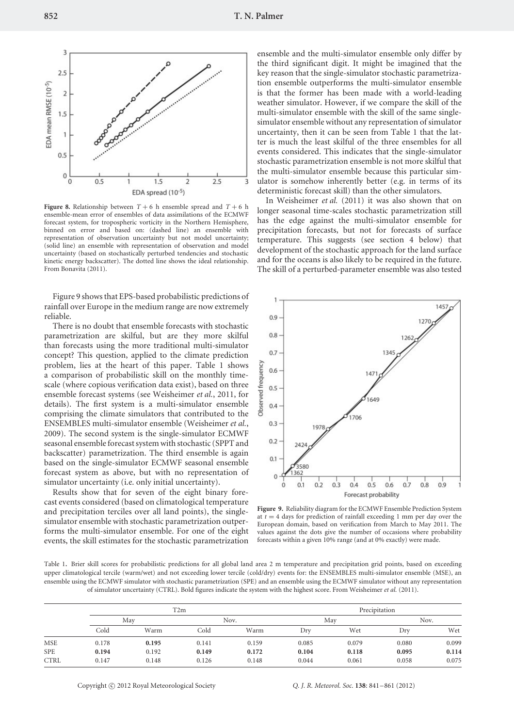

**Figure 8.** Relationship between  $T + 6$  h ensemble spread and  $T + 6$  h ensemble-mean error of ensembles of data assimilations of the ECMWF forecast system, for tropospheric vorticity in the Northern Hemisphere, binned on error and based on: (dashed line) an ensemble with representation of observation uncertainty but not model uncertainty; (solid line) an ensemble with representation of observation and model uncertainty (based on stochastically perturbed tendencies and stochastic kinetic energy backscatter). The dotted line shows the ideal relationship. From Bonavita (2011).

Figure 9 shows that EPS-based probabilistic predictions of rainfall over Europe in the medium range are now extremely reliable.

There is no doubt that ensemble forecasts with stochastic parametrization are skilful, but are they more skilful than forecasts using the more traditional multi-simulator concept? This question, applied to the climate prediction problem, lies at the heart of this paper. Table 1 shows a comparison of probabilistic skill on the monthly timescale (where copious verification data exist), based on three ensemble forecast systems (see Weisheimer *et al.*, 2011, for details). The first system is a multi-simulator ensemble comprising the climate simulators that contributed to the ENSEMBLES multi-simulator ensemble (Weisheimer *et al.*, 2009). The second system is the single-simulator ECMWF seasonal ensemble forecast system with stochastic (SPPT and backscatter) parametrization. The third ensemble is again based on the single-simulator ECMWF seasonal ensemble forecast system as above, but with no representation of simulator uncertainty (i.e. only initial uncertainty).

Results show that for seven of the eight binary forecast events considered (based on climatological temperature and precipitation terciles over all land points), the singlesimulator ensemble with stochastic parametrization outperforms the multi-simulator ensemble. For one of the eight events, the skill estimates for the stochastic parametrization

ensemble and the multi-simulator ensemble only differ by the third significant digit. It might be imagined that the key reason that the single-simulator stochastic parametrization ensemble outperforms the multi-simulator ensemble is that the former has been made with a world-leading weather simulator. However, if we compare the skill of the multi-simulator ensemble with the skill of the same singlesimulator ensemble without any representation of simulator uncertainty, then it can be seen from Table 1 that the latter is much the least skilful of the three ensembles for all events considered. This indicates that the single-simulator stochastic parametrization ensemble is not more skilful that the multi-simulator ensemble because this particular simulator is somehow inherently better (e.g. in terms of its deterministic forecast skill) than the other simulators.

In Weisheimer *et al.* (2011) it was also shown that on longer seasonal time-scales stochastic parametrization still has the edge against the multi-simulator ensemble for precipitation forecasts, but not for forecasts of surface temperature. This suggests (see section 4 below) that development of the stochastic approach for the land surface and for the oceans is also likely to be required in the future. The skill of a perturbed-parameter ensemble was also tested



**Figure 9.** Reliability diagram for the ECMWF Ensemble Prediction System at  $t = 4$  days for prediction of rainfall exceeding 1 mm per day over the European domain, based on verification from March to May 2011. The values against the dots give the number of occasions where probability forecasts within a given 10% range (and at 0% exactly) were made.

Table 1. Brier skill scores for probabilistic predictions for all global land area 2 m temperature and precipitation grid points, based on exceeding upper climatological tercile (warm/wet) and not exceeding lower tercile (cold/dry) events for: the ENSEMBLES multi-simulator ensemble (MSE), an ensemble using the ECMWF simulator with stochastic parametrization (SPE) and an ensemble using the ECMWF simulator without any representation of simulator uncertainty (CTRL). Bold figures indicate the system with the highest score. From Weisheimer *et al.* (2011).

|                           | T <sub>2m</sub> |                |                |                | Precipitation  |                |                |                |
|---------------------------|-----------------|----------------|----------------|----------------|----------------|----------------|----------------|----------------|
|                           | May             |                | Nov.           |                | May            |                | Nov.           |                |
|                           | Cold            | Warm           | Cold           | Warm           | Dry            | Wet            | Dry            | Wet            |
| <b>MSE</b>                | 0.178           | 0.195          | 0.141          | 0.159          | 0.085          | 0.079          | 0.080          | 0.099          |
| <b>SPE</b><br><b>CTRL</b> | 0.194<br>0.147  | 0.192<br>0.148 | 0.149<br>0.126 | 0.172<br>0.148 | 0.104<br>0.044 | 0.118<br>0.061 | 0.095<br>0.058 | 0.114<br>0.075 |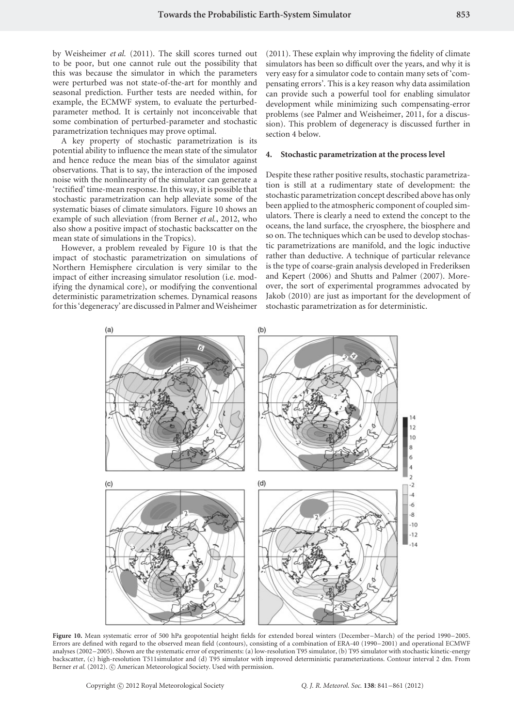by Weisheimer *et al.* (2011). The skill scores turned out to be poor, but one cannot rule out the possibility that this was because the simulator in which the parameters were perturbed was not state-of-the-art for monthly and seasonal prediction. Further tests are needed within, for example, the ECMWF system, to evaluate the perturbedparameter method. It is certainly not inconceivable that some combination of perturbed-parameter and stochastic parametrization techniques may prove optimal.

A key property of stochastic parametrization is its potential ability to influence the mean state of the simulator and hence reduce the mean bias of the simulator against observations. That is to say, the interaction of the imposed noise with the nonlinearity of the simulator can generate a 'rectified' time-mean response. In this way, it is possible that stochastic parametrization can help alleviate some of the systematic biases of climate simulators. Figure 10 shows an example of such alleviation (from Berner *et al.*, 2012, who also show a positive impact of stochastic backscatter on the mean state of simulations in the Tropics).

However, a problem revealed by Figure 10 is that the impact of stochastic parametrization on simulations of Northern Hemisphere circulation is very similar to the impact of either increasing simulator resolution (i.e. modifying the dynamical core), or modifying the conventional deterministic parametrization schemes. Dynamical reasons for this 'degeneracy' are discussed in Palmer and Weisheimer (2011). These explain why improving the fidelity of climate simulators has been so difficult over the years, and why it is very easy for a simulator code to contain many sets of 'compensating errors'. This is a key reason why data assimilation can provide such a powerful tool for enabling simulator development while minimizing such compensating-error problems (see Palmer and Weisheimer, 2011, for a discussion). This problem of degeneracy is discussed further in section 4 below.

#### **4. Stochastic parametrization at the process level**

Despite these rather positive results, stochastic parametrization is still at a rudimentary state of development: the stochastic parametrization concept described above has only been applied to the atmospheric component of coupled simulators. There is clearly a need to extend the concept to the oceans, the land surface, the cryosphere, the biosphere and so on. The techniques which can be used to develop stochastic parametrizations are manifold, and the logic inductive rather than deductive. A technique of particular relevance is the type of coarse-grain analysis developed in Frederiksen and Kepert (2006) and Shutts and Palmer (2007). Moreover, the sort of experimental programmes advocated by Jakob (2010) are just as important for the development of stochastic parametrization as for deterministic.



**Figure 10.** Mean systematic error of 500 hPa geopotential height fields for extended boreal winters (December–March) of the period 1990–2005. Errors are defined with regard to the observed mean field (contours), consisting of a combination of ERA-40 (1990–2001) and operational ECMWF analyses (2002–2005). Shown are the systematic error of experiments: (a) low-resolution T95 simulator, (b) T95 simulator with stochastic kinetic-energy backscatter, (c) high-resolution T511simulator and (d) T95 simulator with improved deterministic parameterizations. Contour interval 2 dm. From Berner *et al.* (2012). C American Meteorological Society. Used with permission.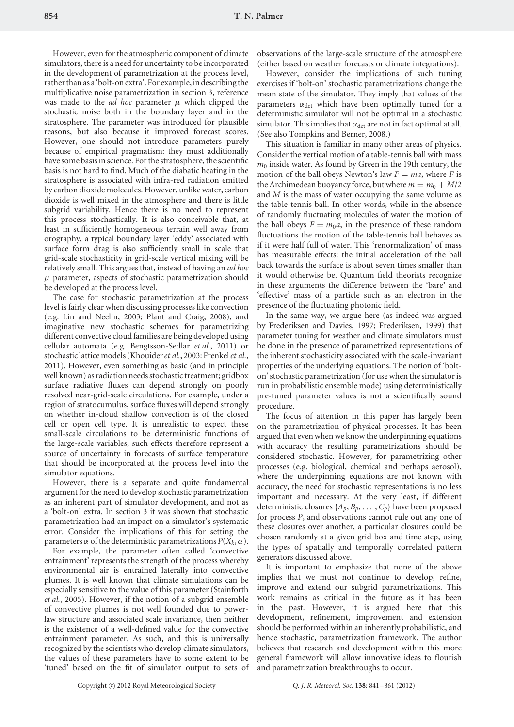However, even for the atmospheric component of climate simulators, there is a need for uncertainty to be incorporated in the development of parametrization at the process level, rather than as a 'bolt-on extra'. For example, in describing the multiplicative noise parametrization in section 3, reference was made to the *ad hoc* parameter *µ* which clipped the stochastic noise both in the boundary layer and in the stratosphere. The parameter was introduced for plausible reasons, but also because it improved forecast scores. However, one should not introduce parameters purely because of empirical pragmatism: they must additionally have some basis in science. For the stratosphere, the scientific basis is not hard to find. Much of the diabatic heating in the stratosphere is associated with infra-red radiation emitted by carbon dioxide molecules. However, unlike water, carbon dioxide is well mixed in the atmosphere and there is little subgrid variability. Hence there is no need to represent this process stochastically. It is also conceivable that, at least in sufficiently homogeneous terrain well away from orography, a typical boundary layer 'eddy' associated with surface form drag is also sufficiently small in scale that grid-scale stochasticity in grid-scale vertical mixing will be relatively small. This argues that, instead of having an *ad hoc*  $\mu$  parameter, aspects of stochastic parametrization should be developed at the process level.

The case for stochastic parametrization at the process level is fairly clear when discussing processes like convection (e.g. Lin and Neelin, 2003; Plant and Craig, 2008), and imaginative new stochastic schemes for parametrizing different convective cloud families are being developed using cellular automata (e.g. Bengtsson-Sedlar *et al.*, 2011) or stochastic lattice models (Khouider*et al.*, 2003: Frenkel*et al.*, 2011). However, even something as basic (and in principle well known) as radiation needs stochastic treatment; gridbox surface radiative fluxes can depend strongly on poorly resolved near-grid-scale circulations. For example, under a region of stratocumulus, surface fluxes will depend strongly on whether in-cloud shallow convection is of the closed cell or open cell type. It is unrealistic to expect these small-scale circulations to be deterministic functions of the large-scale variables; such effects therefore represent a source of uncertainty in forecasts of surface temperature that should be incorporated at the process level into the simulator equations.

However, there is a separate and quite fundamental argument for the need to develop stochastic parametrization as an inherent part of simulator development, and not as a 'bolt-on' extra. In section 3 it was shown that stochastic parametrization had an impact on a simulator's systematic error. Consider the implications of this for setting the parameters  $\alpha$  of the deterministic parametrizations  $P(X_k, \alpha)$ .

For example, the parameter often called 'convective entrainment' represents the strength of the process whereby environmental air is entrained laterally into convective plumes. It is well known that climate simulations can be especially sensitive to the value of this parameter (Stainforth *et al.*, 2005). However, if the notion of a subgrid ensemble of convective plumes is not well founded due to powerlaw structure and associated scale invariance, then neither is the existence of a well-defined value for the convective entrainment parameter. As such, and this is universally recognized by the scientists who develop climate simulators, the values of these parameters have to some extent to be 'tuned' based on the fit of simulator output to sets of observations of the large-scale structure of the atmosphere (either based on weather forecasts or climate integrations).

However, consider the implications of such tuning exercises if 'bolt-on' stochastic parametrizations change the mean state of the simulator. They imply that values of the parameters  $\alpha_{\text{det}}$  which have been optimally tuned for a deterministic simulator will not be optimal in a stochastic simulator. This implies that  $\alpha_{\text{det}}$  are not in fact optimal at all. (See also Tompkins and Berner, 2008.)

This situation is familiar in many other areas of physics. Consider the vertical motion of a table-tennis ball with mass  $m<sub>0</sub>$  inside water. As found by Green in the 19th century, the motion of the ball obeys Newton's law  $F = ma$ , where *F* is the Archimedean buoyancy force, but where  $m = m_0 + M/2$ and *M* is the mass of water occupying the same volume as the table-tennis ball. In other words, while in the absence of randomly fluctuating molecules of water the motion of the ball obeys  $F = ma$ , in the presence of these random fluctuations the motion of the table-tennis ball behaves as if it were half full of water. This 'renormalization' of mass has measurable effects: the initial acceleration of the ball back towards the surface is about seven times smaller than it would otherwise be. Quantum field theorists recognize in these arguments the difference between the 'bare' and 'effective' mass of a particle such as an electron in the presence of the fluctuating photonic field.

In the same way, we argue here (as indeed was argued by Frederiksen and Davies, 1997; Frederiksen, 1999) that parameter tuning for weather and climate simulators must be done in the presence of parametrized representations of the inherent stochasticity associated with the scale-invariant properties of the underlying equations. The notion of 'bolton' stochastic parametrization (for use when the simulator is run in probabilistic ensemble mode) using deterministically pre-tuned parameter values is not a scientifically sound procedure.

The focus of attention in this paper has largely been on the parametrization of physical processes. It has been argued that even when we know the underpinning equations with accuracy the resulting parametrizations should be considered stochastic. However, for parametrizing other processes (e.g. biological, chemical and perhaps aerosol), where the underpinning equations are not known with accuracy, the need for stochastic representations is no less important and necessary. At the very least, if different deterministic closures  $\{A_p, B_p, \ldots, C_p\}$  have been proposed for process *P*, and observations cannot rule out any one of these closures over another, a particular closures could be chosen randomly at a given grid box and time step, using the types of spatially and temporally correlated pattern generators discussed above.

It is important to emphasize that none of the above implies that we must not continue to develop, refine, improve and extend our subgrid parametrizations. This work remains as critical in the future as it has been in the past. However, it is argued here that this development, refinement, improvement and extension should be performed within an inherently probabilistic, and hence stochastic, parametrization framework. The author believes that research and development within this more general framework will allow innovative ideas to flourish and parametrization breakthroughs to occur.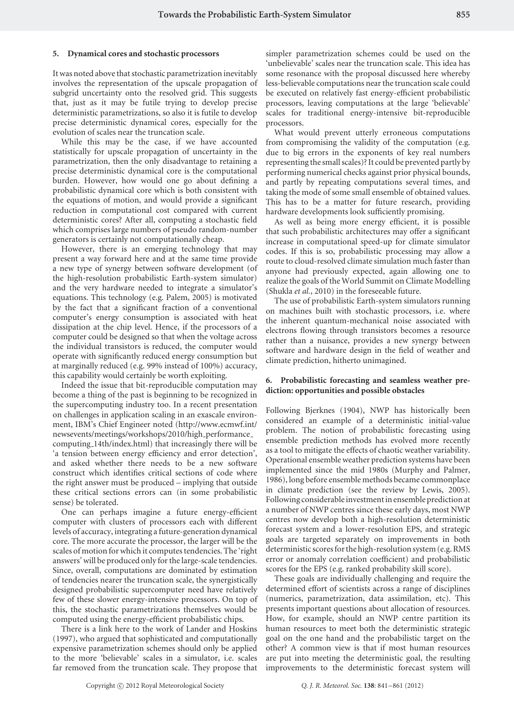### **5. Dynamical cores and stochastic processors**

It was noted above that stochastic parametrization inevitably involves the representation of the upscale propagation of subgrid uncertainty onto the resolved grid. This suggests that, just as it may be futile trying to develop precise deterministic parametrizations, so also it is futile to develop precise deterministic dynamical cores, especially for the evolution of scales near the truncation scale.

While this may be the case, if we have accounted statistically for upscale propagation of uncertainty in the parametrization, then the only disadvantage to retaining a precise deterministic dynamical core is the computational burden. However, how would one go about defining a probabilistic dynamical core which is both consistent with the equations of motion, and would provide a significant reduction in computational cost compared with current deterministic cores? After all, computing a stochastic field which comprises large numbers of pseudo random-number generators is certainly not computationally cheap.

However, there is an emerging technology that may present a way forward here and at the same time provide a new type of synergy between software development (of the high-resolution probabilistic Earth-system simulator) and the very hardware needed to integrate a simulator's equations. This technology (e.g. Palem, 2005) is motivated by the fact that a significant fraction of a conventional computer's energy consumption is associated with heat dissipation at the chip level. Hence, if the processors of a computer could be designed so that when the voltage across the individual transistors is reduced, the computer would operate with significantly reduced energy consumption but at marginally reduced (e.g. 99% instead of 100%) accuracy, this capability would certainly be worth exploiting.

Indeed the issue that bit-reproducible computation may become a thing of the past is beginning to be recognized in the supercomputing industry too. In a recent presentation on challenges in application scaling in an exascale environment, IBM's Chief Engineer noted (http://www.ecmwf.int/ newsevents/meetings/workshops/2010/high performance computing 14th/index.html) that increasingly there will be 'a tension between energy efficiency and error detection', and asked whether there needs to be a new software construct which identifies critical sections of code where the right answer must be produced – implying that outside these critical sections errors can (in some probabilistic sense) be tolerated.

One can perhaps imagine a future energy-efficient computer with clusters of processors each with different levels of accuracy, integrating a future-generation dynamical core. The more accurate the processor, the larger will be the scales of motion for which it computes tendencies. The 'right answers' will be produced only for the large-scale tendencies. Since, overall, computations are dominated by estimation of tendencies nearer the truncation scale, the synergistically designed probabilistic supercomputer need have relatively few of these slower energy-intensive processors. On top of this, the stochastic parametrizations themselves would be computed using the energy-efficient probabilistic chips.

There is a link here to the work of Lander and Hoskins (1997), who argued that sophisticated and computationally expensive parametrization schemes should only be applied to the more 'believable' scales in a simulator, i.e. scales far removed from the truncation scale. They propose that

simpler parametrization schemes could be used on the 'unbelievable' scales near the truncation scale. This idea has some resonance with the proposal discussed here whereby less-believable computations near the truncation scale could be executed on relatively fast energy-efficient probabilistic processors, leaving computations at the large 'believable' scales for traditional energy-intensive bit-reproducible processors.

What would prevent utterly erroneous computations from compromising the validity of the computation (e.g. due to big errors in the exponents of key real numbers representing the small scales)? It could be prevented partly by performing numerical checks against prior physical bounds, and partly by repeating computations several times, and taking the mode of some small ensemble of obtained values. This has to be a matter for future research, providing hardware developments look sufficiently promising.

As well as being more energy efficient, it is possible that such probabilistic architectures may offer a significant increase in computational speed-up for climate simulator codes. If this is so, probabilistic processing may allow a route to cloud-resolved climate simulation much faster than anyone had previously expected, again allowing one to realize the goals of the World Summit on Climate Modelling (Shukla *et al.*, 2010) in the foreseeable future.

The use of probabilistic Earth-system simulators running on machines built with stochastic processors, i.e. where the inherent quantum-mechanical noise associated with electrons flowing through transistors becomes a resource rather than a nuisance, provides a new synergy between software and hardware design in the field of weather and climate prediction, hitherto unimagined.

#### **6. Probabilistic forecasting and seamless weather prediction: opportunities and possible obstacles**

Following Bjerknes (1904), NWP has historically been considered an example of a deterministic initial-value problem. The notion of probabilistic forecasting using ensemble prediction methods has evolved more recently as a tool to mitigate the effects of chaotic weather variability. Operational ensemble weather prediction systems have been implemented since the mid 1980s (Murphy and Palmer, 1986), long before ensemble methods became commonplace in climate prediction (see the review by Lewis, 2005). Following considerable investment in ensemble prediction at a number of NWP centres since these early days, most NWP centres now develop both a high-resolution deterministic forecast system and a lower-resolution EPS, and strategic goals are targeted separately on improvements in both deterministic scores for the high-resolution system (e.g. RMS error or anomaly correlation coefficient) and probabilistic scores for the EPS (e.g. ranked probability skill score).

These goals are individually challenging and require the determined effort of scientists across a range of disciplines (numerics, parametrization, data assimilation, etc). This presents important questions about allocation of resources. How, for example, should an NWP centre partition its human resources to meet both the deterministic strategic goal on the one hand and the probabilistic target on the other? A common view is that if most human resources are put into meeting the deterministic goal, the resulting improvements to the deterministic forecast system will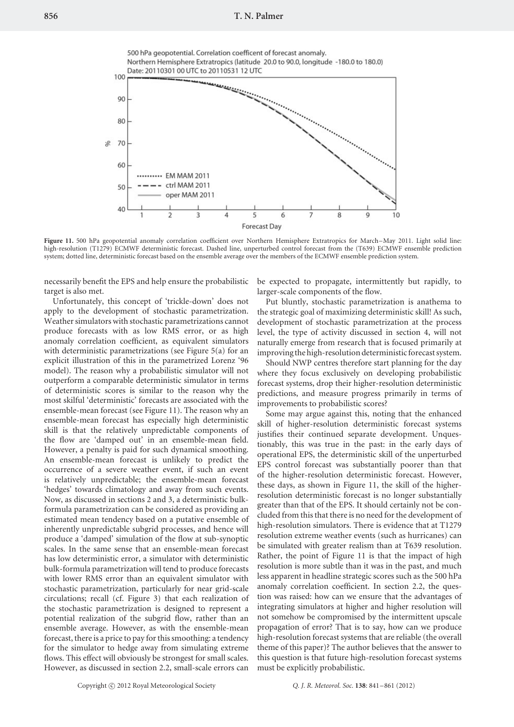500 hPa geopotential. Correlation coefficent of forecast anomaly. Northern Hemisphere Extratropics (latitude 20.0 to 90.0, longitude -180.0 to 180.0) Date: 20110301 00 UTC to 20110531 12 UTC



Figure 11. 500 hPa geopotential anomaly correlation coefficient over Northern Hemisphere Extratropics for March–May 2011. Light solid line: high-resolution (T1279) ECMWF deterministic forecast. Dashed line, unperturbed control forecast from the (T639) ECMWF ensemble prediction system; dotted line, deterministic forecast based on the ensemble average over the members of the ECMWF ensemble prediction system.

necessarily benefit the EPS and help ensure the probabilistic target is also met.

Unfortunately, this concept of 'trickle-down' does not apply to the development of stochastic parametrization. Weather simulators with stochastic parametrizations cannot produce forecasts with as low RMS error, or as high anomaly correlation coefficient, as equivalent simulators with deterministic parametrizations (see Figure 5(a) for an explicit illustration of this in the parametrized Lorenz '96 model). The reason why a probabilistic simulator will not outperform a comparable deterministic simulator in terms of deterministic scores is similar to the reason why the most skilful 'deterministic' forecasts are associated with the ensemble-mean forecast (see Figure 11). The reason why an ensemble-mean forecast has especially high deterministic skill is that the relatively unpredictable components of the flow are 'damped out' in an ensemble-mean field. However, a penalty is paid for such dynamical smoothing. An ensemble-mean forecast is unlikely to predict the occurrence of a severe weather event, if such an event is relatively unpredictable; the ensemble-mean forecast 'hedges' towards climatology and away from such events. Now, as discussed in sections 2 and 3, a deterministic bulkformula parametrization can be considered as providing an estimated mean tendency based on a putative ensemble of inherently unpredictable subgrid processes, and hence will produce a 'damped' simulation of the flow at sub-synoptic scales. In the same sense that an ensemble-mean forecast has low deterministic error, a simulator with deterministic bulk-formula parametrization will tend to produce forecasts with lower RMS error than an equivalent simulator with stochastic parametrization, particularly for near grid-scale circulations; recall (cf. Figure 3) that each realization of the stochastic parametrization is designed to represent a potential realization of the subgrid flow, rather than an ensemble average. However, as with the ensemble-mean forecast, there is a price to pay for this smoothing: a tendency for the simulator to hedge away from simulating extreme flows. This effect will obviously be strongest for small scales. However, as discussed in section 2.2, small-scale errors can

be expected to propagate, intermittently but rapidly, to larger-scale components of the flow.

Put bluntly, stochastic parametrization is anathema to the strategic goal of maximizing deterministic skill! As such, development of stochastic parametrization at the process level, the type of activity discussed in section 4, will not naturally emerge from research that is focused primarily at improving the high-resolution deterministic forecast system.

Should NWP centres therefore start planning for the day where they focus exclusively on developing probabilistic forecast systems, drop their higher-resolution deterministic predictions, and measure progress primarily in terms of improvements to probabilistic scores?

Some may argue against this, noting that the enhanced skill of higher-resolution deterministic forecast systems justifies their continued separate development. Unquestionably, this was true in the past: in the early days of operational EPS, the deterministic skill of the unperturbed EPS control forecast was substantially poorer than that of the higher-resolution deterministic forecast. However, these days, as shown in Figure 11, the skill of the higherresolution deterministic forecast is no longer substantially greater than that of the EPS. It should certainly not be concluded from this that there is no need for the development of high-resolution simulators. There is evidence that at T1279 resolution extreme weather events (such as hurricanes) can be simulated with greater realism than at T639 resolution. Rather, the point of Figure 11 is that the impact of high resolution is more subtle than it was in the past, and much less apparent in headline strategic scores such as the 500 hPa anomaly correlation coefficient. In section 2.2, the question was raised: how can we ensure that the advantages of integrating simulators at higher and higher resolution will not somehow be compromised by the intermittent upscale propagation of error? That is to say, how can we produce high-resolution forecast systems that are reliable (the overall theme of this paper)? The author believes that the answer to this question is that future high-resolution forecast systems must be explicitly probabilistic.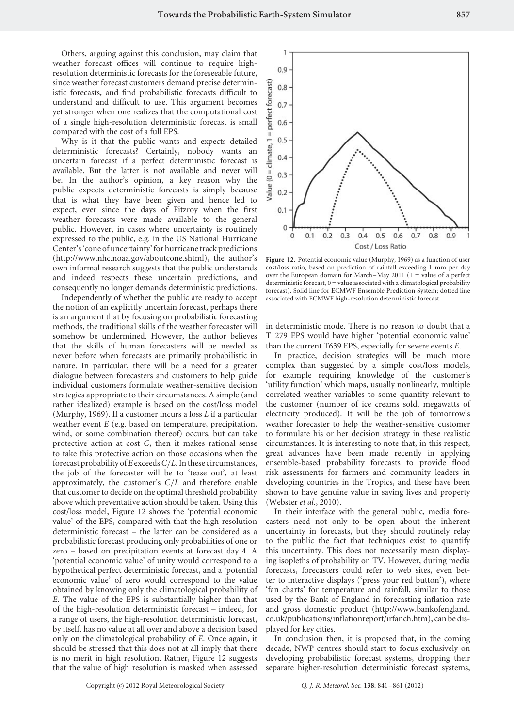Others, arguing against this conclusion, may claim that weather forecast offices will continue to require highresolution deterministic forecasts for the foreseeable future, since weather forecast customers demand precise deterministic forecasts, and find probabilistic forecasts difficult to understand and difficult to use. This argument becomes yet stronger when one realizes that the computational cost of a single high-resolution deterministic forecast is small compared with the cost of a full EPS.

Why is it that the public wants and expects detailed deterministic forecasts? Certainly, nobody wants an uncertain forecast if a perfect deterministic forecast is available. But the latter is not available and never will be. In the author's opinion, a key reason why the public expects deterministic forecasts is simply because that is what they have been given and hence led to expect, ever since the days of Fitzroy when the first weather forecasts were made available to the general public. However, in cases where uncertainty is routinely expressed to the public, e.g. in the US National Hurricane Center's 'cone of uncertainty' for hurricane track predictions (http://www.nhc.noaa.gov/aboutcone.shtml), the author's own informal research suggests that the public understands and indeed respects these uncertain predictions, and consequently no longer demands deterministic predictions.

Independently of whether the public are ready to accept the notion of an explicitly uncertain forecast, perhaps there is an argument that by focusing on probabilistic forecasting methods, the traditional skills of the weather forecaster will somehow be undermined. However, the author believes that the skills of human forecasters will be needed as never before when forecasts are primarily probabilistic in nature. In particular, there will be a need for a greater dialogue between forecasters and customers to help guide individual customers formulate weather-sensitive decision strategies appropriate to their circumstances. A simple (and rather idealized) example is based on the cost/loss model (Murphy, 1969). If a customer incurs a loss *L* if a particular weather event *E* (e.g. based on temperature, precipitation, wind, or some combination thereof) occurs, but can take protective action at cost *C*, then it makes rational sense to take this protective action on those occasions when the forecast probability of *E* exceeds*C/L*. In these circumstances, the job of the forecaster will be to 'tease out', at least approximately, the customer's *C/L* and therefore enable that customer to decide on the optimal threshold probability above which preventative action should be taken. Using this cost/loss model, Figure 12 shows the 'potential economic value' of the EPS, compared with that the high-resolution deterministic forecast – the latter can be considered as a probabilistic forecast producing only probabilities of one or zero – based on precipitation events at forecast day 4. A 'potential economic value' of unity would correspond to a hypothetical perfect deterministic forecast, and a 'potential economic value' of zero would correspond to the value obtained by knowing only the climatological probability of *E*. The value of the EPS is substantially higher than that of the high-resolution deterministic forecast – indeed, for a range of users, the high-resolution deterministic forecast, by itself, has no value at all over and above a decision based only on the climatological probability of *E*. Once again, it should be stressed that this does not at all imply that there is no merit in high resolution. Rather, Figure 12 suggests that the value of high resolution is masked when assessed



Figure 12. Potential economic value (Murphy, 1969) as a function of user cost/loss ratio, based on prediction of rainfall exceeding 1 mm per day over the European domain for March–May 2011 ( $1 =$  value of a perfect deterministic forecast, 0 = value associated with a climatological probability forecast). Solid line for ECMWF Ensemble Prediction System; dotted line associated with ECMWF high-resolution deterministic forecast.

in deterministic mode. There is no reason to doubt that a T1279 EPS would have higher 'potential economic value' than the current T639 EPS, especially for severe events *E*.

In practice, decision strategies will be much more complex than suggested by a simple cost/loss models, for example requiring knowledge of the customer's 'utility function' which maps, usually nonlinearly, multiple correlated weather variables to some quantity relevant to the customer (number of ice creams sold, megawatts of electricity produced). It will be the job of tomorrow's weather forecaster to help the weather-sensitive customer to formulate his or her decision strategy in these realistic circumstances. It is interesting to note that, in this respect, great advances have been made recently in applying ensemble-based probability forecasts to provide flood risk assessments for farmers and community leaders in developing countries in the Tropics, and these have been shown to have genuine value in saving lives and property (Webster *et al.*, 2010).

In their interface with the general public, media forecasters need not only to be open about the inherent uncertainty in forecasts, but they should routinely relay to the public the fact that techniques exist to quantify this uncertainty. This does not necessarily mean displaying isopleths of probability on TV. However, during media forecasts, forecasters could refer to web sites, even better to interactive displays ('press your red button'), where 'fan charts' for temperature and rainfall, similar to those used by the Bank of England in forecasting inflation rate and gross domestic product (http://www.bankofengland. co.uk/publications/inflationreport/irfanch.htm), can be displayed for key cities.

In conclusion then, it is proposed that, in the coming decade, NWP centres should start to focus exclusively on developing probabilistic forecast systems, dropping their separate higher-resolution deterministic forecast systems,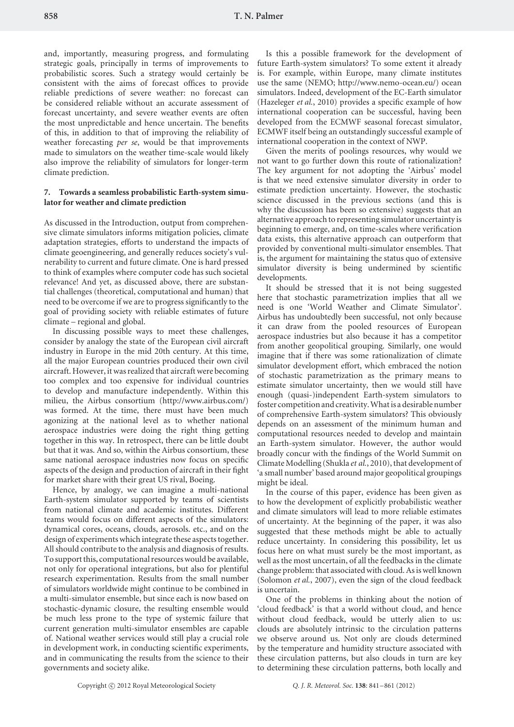and, importantly, measuring progress, and formulating strategic goals, principally in terms of improvements to probabilistic scores. Such a strategy would certainly be consistent with the aims of forecast offices to provide reliable predictions of severe weather: no forecast can be considered reliable without an accurate assessment of forecast uncertainty, and severe weather events are often the most unpredictable and hence uncertain. The benefits of this, in addition to that of improving the reliability of weather forecasting *per se*, would be that improvements made to simulators on the weather time-scale would likely also improve the reliability of simulators for longer-term climate prediction.

## **7. Towards a seamless probabilistic Earth-system simulator for weather and climate prediction**

As discussed in the Introduction, output from comprehensive climate simulators informs mitigation policies, climate adaptation strategies, efforts to understand the impacts of climate geoengineering, and generally reduces society's vulnerability to current and future climate. One is hard pressed to think of examples where computer code has such societal relevance! And yet, as discussed above, there are substantial challenges (theoretical, computational and human) that need to be overcome if we are to progress significantly to the goal of providing society with reliable estimates of future climate – regional and global.

In discussing possible ways to meet these challenges, consider by analogy the state of the European civil aircraft industry in Europe in the mid 20th century. At this time, all the major European countries produced their own civil aircraft. However, it was realized that aircraft were becoming too complex and too expensive for individual countries to develop and manufacture independently. Within this milieu, the Airbus consortium (http://www.airbus.com/) was formed. At the time, there must have been much agonizing at the national level as to whether national aerospace industries were doing the right thing getting together in this way. In retrospect, there can be little doubt but that it was. And so, within the Airbus consortium, these same national aerospace industries now focus on specific aspects of the design and production of aircraft in their fight for market share with their great US rival, Boeing.

Hence, by analogy, we can imagine a multi-national Earth-system simulator supported by teams of scientists from national climate and academic institutes. Different teams would focus on different aspects of the simulators: dynamical cores, oceans, clouds, aerosols. etc., and on the design of experiments which integrate these aspects together. All should contribute to the analysis and diagnosis of results. To support this, computational resources would be available, not only for operational integrations, but also for plentiful research experimentation. Results from the small number of simulators worldwide might continue to be combined in a multi-simulator ensemble, but since each is now based on stochastic-dynamic closure, the resulting ensemble would be much less prone to the type of systemic failure that current generation multi-simulator ensembles are capable of. National weather services would still play a crucial role in development work, in conducting scientific experiments, and in communicating the results from the science to their governments and society alike.

Is this a possible framework for the development of future Earth-system simulators? To some extent it already is. For example, within Europe, many climate institutes use the same (NEMO; http://www.nemo-ocean.eu/) ocean simulators. Indeed, development of the EC-Earth simulator (Hazeleger *et al.*, 2010) provides a specific example of how international cooperation can be successful, having been developed from the ECMWF seasonal forecast simulator, ECMWF itself being an outstandingly successful example of international cooperation in the context of NWP.

Given the merits of poolings resources, why would we not want to go further down this route of rationalization? The key argument for not adopting the 'Airbus' model is that we need extensive simulator diversity in order to estimate prediction uncertainty. However, the stochastic science discussed in the previous sections (and this is why the discussion has been so extensive) suggests that an alternative approach to representing simulator uncertainty is beginning to emerge, and, on time-scales where verification data exists, this alternative approach can outperform that provided by conventional multi-simulator ensembles. That is, the argument for maintaining the status quo of extensive simulator diversity is being undermined by scientific developments.

It should be stressed that it is not being suggested here that stochastic parametrization implies that all we need is one 'World Weather and Climate Simulator'. Airbus has undoubtedly been successful, not only because it can draw from the pooled resources of European aerospace industries but also because it has a competitor from another geopolitical grouping. Similarly, one would imagine that if there was some rationalization of climate simulator development effort, which embraced the notion of stochastic parametrization as the primary means to estimate simulator uncertainty, then we would still have enough (quasi-)independent Earth-system simulators to foster competition and creativity. What is a desirable number of comprehensive Earth-system simulators? This obviously depends on an assessment of the minimum human and computational resources needed to develop and maintain an Earth-system simulator. However, the author would broadly concur with the findings of the World Summit on Climate Modelling (Shukla *et al.*, 2010), that development of 'a small number' based around major geopolitical groupings might be ideal.

In the course of this paper, evidence has been given as to how the development of explicitly probabilistic weather and climate simulators will lead to more reliable estimates of uncertainty. At the beginning of the paper, it was also suggested that these methods might be able to actually reduce uncertainty. In considering this possibility, let us focus here on what must surely be the most important, as well as the most uncertain, of all the feedbacks in the climate change problem: that associated with cloud. As is well known (Solomon *et al.*, 2007), even the sign of the cloud feedback is uncertain.

One of the problems in thinking about the notion of 'cloud feedback' is that a world without cloud, and hence without cloud feedback, would be utterly alien to us: clouds are absolutely intrinsic to the circulation patterns we observe around us. Not only are clouds determined by the temperature and humidity structure associated with these circulation patterns, but also clouds in turn are key to determining these circulation patterns, both locally and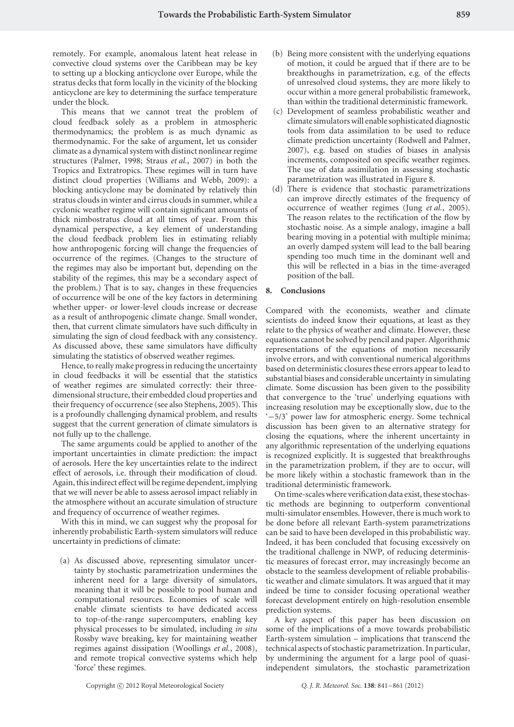remotely. For example, anomalous latent heat release in convective cloud systems over the Caribbean may be key to setting up a blocking anticyclone over Europe, while the stratus decks that form locally in the vicinity of the blocking anticyclone are key to determining the surface temperature under the block.

This means that we cannot treat the problem of cloud feedback solely as a problem in atmospheric thermodynamics; the problem is as much dynamic as thermodynamic. For the sake of argument, let us consider climate as a dynamical system with distinct nonlinear regime structures (Palmer, 1998; Straus *et al.*, 2007) in both the Tropics and Extratropics. These regimes will in turn have distinct cloud properties (Williams and Webb, 2009): a blocking anticyclone may be dominated by relatively thin stratus clouds in winter and cirrus clouds in summer, while a cyclonic weather regime will contain significant amounts of thick nimbostratus cloud at all times of year. From this dynamical perspective, a key element of understanding the cloud feedback problem lies in estimating reliably how anthropogenic forcing will change the frequencies of occurrence of the regimes. (Changes to the structure of the regimes may also be important but, depending on the stability of the regimes, this may be a secondary aspect of the problem.) That is to say, changes in these frequencies of occurrence will be one of the key factors in determining whether upper- or lower-level clouds increase or decrease as a result of anthropogenic climate change. Small wonder, then, that current climate simulators have such difficulty in simulating the sign of cloud feedback with any consistency. As discussed above, these same simulators have difficulty simulating the statistics of observed weather regimes.

Hence, to really make progress in reducing the uncertainty in cloud feedbacks it will be essential that the statistics of weather regimes are simulated correctly: their threedimensional structure, their embedded cloud properties and their frequency of occurrence (see also Stephens, 2005). This is a profoundly challenging dynamical problem, and results suggest that the current generation of climate simulators is not fully up to the challenge.

The same arguments could be applied to another of the important uncertainties in climate prediction: the impact of aerosols. Here the key uncertainties relate to the indirect effect of aerosols, i.e. through their modification of cloud. Again, this indirect effect will be regime dependent, implying that we will never be able to assess aerosol impact reliably in the atmosphere without an accurate simulation of structure and frequency of occurrence of weather regimes.

With this in mind, we can suggest why the proposal for inherently probabilistic Earth-system simulators will reduce uncertainty in predictions of climate:

(a) As discussed above, representing simulator uncertainty by stochastic parametrization undermines the inherent need for a large diversity of simulators, meaning that it will be possible to pool human and computational resources. Economies of scale will enable climate scientists to have dedicated access to top-of-the-range supercomputers, enabling key physical processes to be simulated, including *in situ* Rossby wave breaking, key for maintaining weather regimes against dissipation (Woollings *et al.*, 2008), and remote tropical convective systems which help 'force' these regimes.

- (b) Being more consistent with the underlying equations of motion, it could be argued that if there are to be breakthoughs in parametrization, e.g. of the effects of unresolved cloud systems, they are more likely to occur within a more general probabilistic framework, than within the traditional deterministic framework.
- (c) Development of seamless probabilistic weather and climate simulators will enable sophisticated diagnostic tools from data assimilation to be used to reduce climate prediction uncertainty (Rodwell and Palmer, 2007), e.g. based on studies of biases in analysis increments, composited on specific weather regimes. The use of data assimilation in assessing stochastic parametrization was illustrated in Figure 8.
- (d) There is evidence that stochastic parametrizations can improve directly estimates of the frequency of occurrence of weather regimes (Jung *et al.*, 2005). The reason relates to the rectification of the flow by stochastic noise. As a simple analogy, imagine a ball bearing moving in a potential with multiple minima; an overly damped system will lead to the ball bearing spending too much time in the dominant well and this will be reflected in a bias in the time-averaged position of the ball.

### **8. Conclusions**

Compared with the economists, weather and climate scientists do indeed know their equations, at least as they relate to the physics of weather and climate. However, these equations cannot be solved by pencil and paper. Algorithmic representations of the equations of motion necessarily involve errors, and with conventional numerical algorithms based on deterministic closures these errors appear to lead to substantial biases and considerable uncertainty in simulating climate. Some discussion has been given to the possibility that convergence to the 'true' underlying equations with increasing resolution may be exceptionally slow, due to the '−5/3' power law for atmospheric energy. Some technical discussion has been given to an alternative strategy for closing the equations, where the inherent uncertainty in any algorithmic representation of the underlying equations is recognized explicitly. It is suggested that breakthroughs in the parametrization problem, if they are to occur, will be more likely within a stochastic framework than in the traditional deterministic framework.

On time-scales where verification data exist, these stochastic methods are beginning to outperform conventional multi-simulator ensembles. However, there is much work to be done before all relevant Earth-system parametrizations can be said to have been developed in this probabilistic way. Indeed, it has been concluded that focusing excessively on the traditional challenge in NWP, of reducing deterministic measures of forecast error, may increasingly become an obstacle to the seamless development of reliable probabilistic weather and climate simulators. It was argued that it may indeed be time to consider focusing operational weather forecast development entirely on high-resolution ensemble prediction systems.

A key aspect of this paper has been discussion on some of the implications of a move towards probabilistic Earth-system simulation – implications that transcend the technical aspects of stochastic parametrization. In particular, by undermining the argument for a large pool of quasiindependent simulators, the stochastic parametrization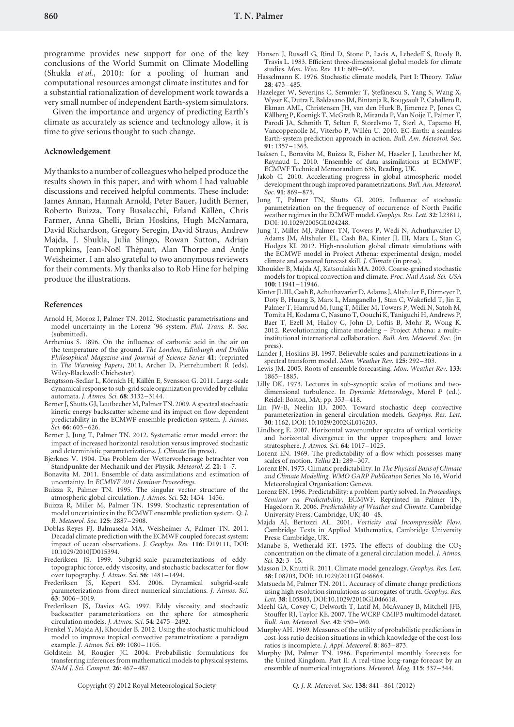programme provides new support for one of the key conclusions of the World Summit on Climate Modelling (Shukla *et al.*, 2010): for a pooling of human and computational resources amongst climate institutes and for a substantial rationalization of development work towards a very small number of independent Earth-system simulators.

Given the importance and urgency of predicting Earth's climate as accurately as science and technology allow, it is time to give serious thought to such change.

#### **Acknowledgement**

My thanks to a number of colleagues who helped produce the results shown in this paper, and with whom I had valuable discussions and received helpful comments. These include: James Annan, Hannah Arnold, Peter Bauer, Judith Berner, Roberto Buizza, Tony Busalacchi, Erland Källén, Chris Farmer, Anna Ghelli, Brian Hoskins, Hugh McNamara, David Richardson, Gregory Seregin, David Straus, Andrew Majda, J. Shukla, Julia Slingo, Rowan Sutton, Adrian Tompkins, Jean-Noël Thépaut, Alan Thorpe and Antje Weisheimer. I am also grateful to two anonymous reviewers for their comments. My thanks also to Rob Hine for helping produce the illustrations.

#### **References**

- Arnold H, Moroz I, Palmer TN. 2012. Stochastic parametrisations and model uncertainty in the Lorenz '96 system. *Phil. Trans. R. Soc.* (submitted).
- Arrhenius S. 1896. On the influence of carbonic acid in the air on the temperature of the ground. *The London, Edinburgh and Dublin Philosophical Magazine and Journal of Science Series* **41**: (reprinted in *The Warming Papers*, 2011, Archer D, Pierrehumbert R (eds). Wiley-Blackwell: Chichester).
- Bengtsson-Sedlar L, Körnich H, Källén E, Svensson G. 2011. Large-scale dynamical response to sub-grid scale organization provided by cellular automata. *J. Atmos. Sci.* **68**: 3132–3144.
- Berner J, Shutts GJ, Leutbecher M, Palmer TN. 2009. A spectral stochastic kinetic energy backscatter scheme and its impact on flow dependent predictability in the ECMWF ensemble prediction system. *J. Atmos. Sci.* **66**: 603–626.
- Berner J, Jung T, Palmer TN. 2012. Systematic error model error: the impact of increased horizontal resolution versus improved stochastic and deterministic parameterizations. *J. Climate* (in press).
- Bjerknes V. 1904. Das Problem der Wettervorhersage betrachter von Standpunkte der Mechanik und der Physik. *Meteorol. Z.* **21**: 1–7.
- Bonavita M. 2011. Ensemble of data assimilations and estimation of uncertainty. In *ECMWF 2011 Seminar Proceedings*.
- Buizza R, Palmer TN. 1995. The singular vector structure of the atmospheric global circulation. *J. Atmos. Sci.* **52**: 1434–1456.
- Buizza R, Miller M, Palmer TN. 1999. Stochastic representation of model uncertainties in the ECMWF ensemble prediction system. *Q. J. R. Meteorol. Soc.* **125**: 2887–2908.
- Doblas-Reyes FJ, Balmaseda MA, Weisheimer A, Palmer TN. 2011. Decadal climate prediction with the ECMWF coupled forecast system: impact of ocean observations. *J. Geophys. Res.* **116**: D19111, DOI: 10.1029/2010JD015394.
- Frederiksen JS. 1999. Subgrid-scale parameterizations of eddytopographic force, eddy viscosity, and stochastic backscatter for flow over topography. *J. Atmos. Sci.* **56**: 1481–1494.
- Frederiksen JS, Kepert SM. 2006. Dynamical subgrid-scale parameterizations from direct numerical simulations. *J. Atmos. Sci.* **63**: 3006–3019.
- Frederiksen JS, Davies AG. 1997. Eddy viscosity and stochastic backscatter parameterizations on the sphere for atmospheric circulation models. *J. Atmos. Sci.* **54**: 2475–2492.
- Frenkel Y, Majda AJ, Khouider B. 2012. Using the stochastic multicloud model to improve tropical convective parametrization: a paradigm example. *J. Atmos. Sci.* **69**: 1080–1105.
- Goldstein M, Rougier JC. 2004. Probabilistic formulations for transferring inferences from mathematical models to physical systems. *SIAM J. Sci. Comput.* **26**: 467–487.
- Hansen J, Russell G, Rind D, Stone P, Lacis A, Lebedeff S, Ruedy R, Travis L. 1983. Efficient three-dimensional global models for climate studies. *Mon. Wea. Rev.* **111**: 609–662.
- Hasselmann K. 1976. Stochastic climate models, Part I: Theory. *Tellus* **28**: 473–485.
- Hazeleger W, Severijns C, Semmler T, Stefǎnescu S, Yang S, Wang X, Wyser K, Dutra E, Baldasano JM, Bintanja R, Bougeault P, Caballero R, Ekman AML, Christensen JH, van den Hurk B, Jimenez P, Jones C, Kållberg P, Koenigk T, McGrath R, Miranda P, Van Noije T, Palmer T, Parodi JA, Schmith T, Selten F, Storelvmo T, Sterl A, Tapamo H, Vancoppenolle M, Viterbo P, Willén U. 2010. EC-Earth: a seamless Earth-system prediction approach in action. *Bull. Am. Meteorol. Soc.* **91**: 1357–1363.
- Isaksen L, Bonavita M, Buizza R, Fisher M, Haseler J, Leutbecher M, Raynaud L. 2010. 'Ensemble of data assimilations at ECMWF'. ECMWF Technical Memorandum 636, Reading, UK.
- Jakob C. 2010. Accelerating progress in global atmospheric model development through improved parametrizations. *Bull. Am. Meteorol. Soc.* **91**: 869–875.
- Jung T, Palmer TN, Shutts GJ. 2005. Influence of stochastic parametrization on the frequency of occurrence of North Pacific weather regimes in the ECMWF model. *Geophys. Res. Lett.* **32**: L23811, DOI: 10.1029/2005GL024248.
- Jung T, Miller MJ, Palmer TN, Towers P, Wedi N, Achuthavarier D, Adams JM, Altshuler EL, Cash BA, Kinter JL III, Marx L, Stan C, Hodges KI. 2012. High-resolution global climate simulations with the ECMWF model in Project Athena: experimental design, model climate and seasonal forecast skill. *J. Climate* (in press).
- Khouider B, Majda AJ, Katsoulakis MA. 2003. Coarse-grained stochastic models for tropical convection and climate. *Proc. Natl Acad. Sci. USA* **100**: 11941–11946.
- Kinter JL III, Cash B, Achuthavarier D, Adams J, Altshuler E, Dirmeyer P, Doty B, Huang B, Marx L, Manganello J, Stan C, Wakefield T, Jin E, Palmer T, Hamrud M, Jung T, Miller M, Towers P, Wedi N, Satoh M, Tomita H, Kodama C, Nasuno T, Oouchi K, Taniguchi H, Andrews P, Baer T, Ezell M, Halloy C, John D, Loftis B, Mohr R, Wong K. 2012. Revolutionizing climate modeling – Project Athena: a multiinstitutional international collaboration. *Bull. Am. Meteorol. Soc.* (in press).
- Lander J, Hoskins BJ. 1997. Believable scales and parametrizations in a spectral transform model. *Mon. Weather Rev.* **125**: 292–303.
- Lewis JM. 2005. Roots of ensemble forecasting. *Mon. Weather Rev.* **133**: 1865–1885.
- Lilly DK. 1973. Lectures in sub-synoptic scales of motions and twodimensional turbulence. In *Dynamic Meteorology*, Morel P (ed.). Reidel: Boston, MA; pp. 353–418.
- Lin JW-B, Neelin JD. 2003. Toward stochastic deep convective parameterization in general circulation models. *Geophys. Res. Lett.* **30**: 1162, DOI: 10:1029/2002GL016203.
- Lindborg E. 2007. Horizontal wavenumber spectra of vertical vorticity and horizontal divergence in the upper troposphere and lower stratosphere. *J. Atmos. Sci.* **64**: 1017–1025.
- Lorenz EN. 1969. The predictability of a flow which possesses many scales of motion. *Tellus* **21**: 289–307.
- Lorenz EN. 1975. Climatic predictability. In *The Physical Basis of Climate and Climate Modelling*. *WMO GARP Publication* Series No 16, World Meteorological Organisation: Geneva.
- Lorenz EN. 1996. Predictability: a problem partly solved. In *Proceedings: Seminar on Predictability*. ECMWF. Reprinted in Palmer TN, Hagedorn R. 2006. *Predictability of Weather and Climate*. Cambridge University Press: Cambridge, UK; 40–48.
- Majda AJ, Bertozzi AL. 2001. *Vorticity and Incompressible Flow*. Cambridge Texts in Applied Mathematics, Cambridge University Press: Cambridge, UK.
- Manabe S, Wetherald RT. 1975. The effects of doubling the  $CO<sub>2</sub>$ concentration on the climate of a general circulation model. *J. Atmos. Sci.* **32**: 3–15.
- Masson D, Knutti R. 2011. Climate model genealogy. *Geophys. Res. Lett.* **38**: L08703, DOI: 10.1029/2011GL046864.
- Matsueda M, Palmer TN. 2011. Accuracy of climate change predictions using high resolution simulations as surrogates of truth. *Geophys. Res. Lett.* **38**: L05803, DOI:10.1029/2010GL046618.
- Meehl GA, Covey C, Delworth T, Latif M, McAvaney B, Mitchell JFB, Stouffer RJ, Taylor KE. 2007. The WCRP CMIP3 multimodel dataset. *Bull. Am. Meteorol. Soc.* **42**: 950–960.
- Murphy AH. 1969. Measures of the utility of probabilistic predictions in cost-loss ratio decision situations in which knowledge of the cost-loss ratios is incomplete. *J. Appl. Meteorol.* **8**: 863–873.
- Murphy JM, Palmer TN. 1986. Experimental monthly forecasts for the United Kingdom. Part II: A real-time long-range forecast by an ensemble of numerical integrations. *Meteorol. Mag.* **115**: 337–344.